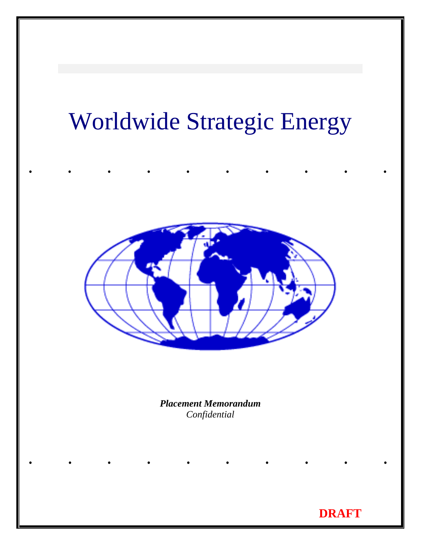# Worldwide Strategic Energy

..........



*Placement Memorandum Confidential* 

..........

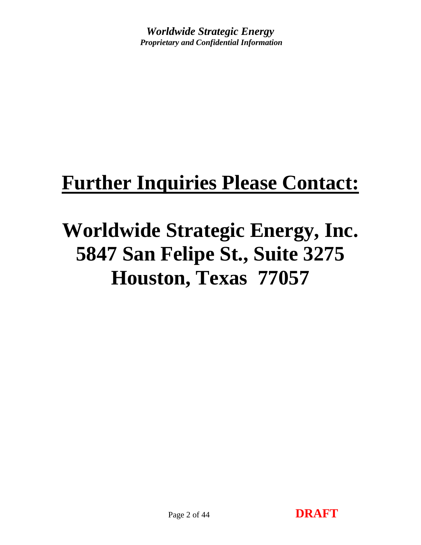# **Further Inquiries Please Contact:**

# **Worldwide Strategic Energy, Inc. 5847 San Felipe St., Suite 3275 Houston, Texas 77057**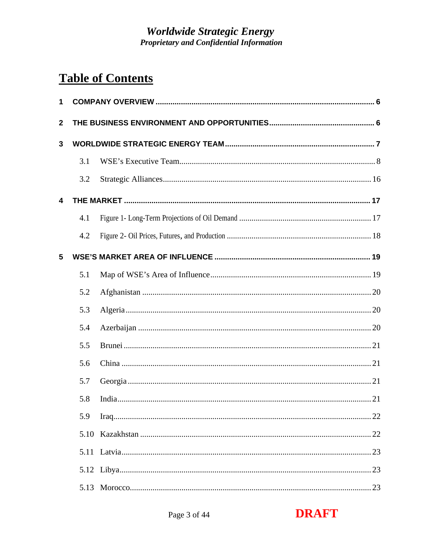# **Table of Contents**

| 1              |      |  |
|----------------|------|--|
| $\overline{2}$ |      |  |
| 3              |      |  |
|                | 3.1  |  |
|                | 3.2  |  |
| 4              |      |  |
|                | 4.1  |  |
|                | 4.2  |  |
| 5              |      |  |
|                | 5.1  |  |
|                | 5.2  |  |
|                | 5.3  |  |
|                | 5.4  |  |
|                | 5.5  |  |
|                | 5.6  |  |
|                | 5.7  |  |
|                | 5.8  |  |
|                | 5.9  |  |
|                | 5.10 |  |
|                |      |  |
|                |      |  |
|                | 5.13 |  |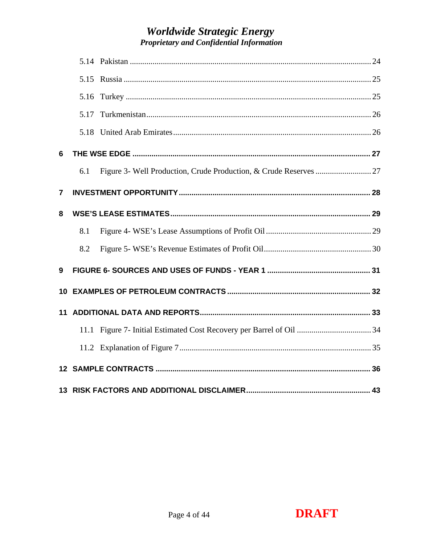|    | 5.17 |  |
|----|------|--|
|    |      |  |
| 6  |      |  |
|    | 6.1  |  |
| 7  |      |  |
| 8  |      |  |
|    | 8.1  |  |
|    | 8.2  |  |
| 9  |      |  |
| 10 |      |  |
| 11 |      |  |
|    |      |  |
|    |      |  |
|    |      |  |
|    |      |  |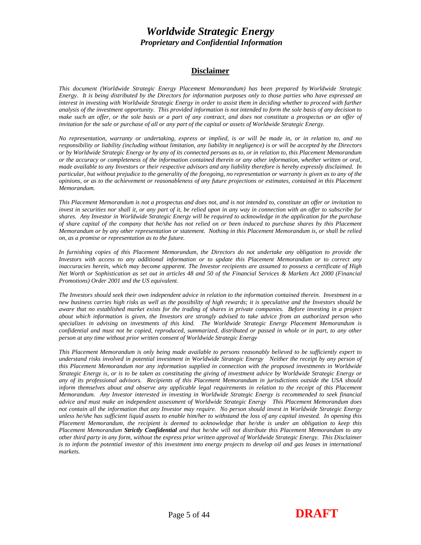#### **Disclaimer**

*This document (Worldwide Strategic Energy Placement Memorandum) has been prepared by Worldwide Strategic Energy. It is being distributed by the Directors for information purposes only to those parties who have expressed an*  interest in investing with Worldwide Strategic Energy in order to assist them in deciding whether to proceed with further *analysis of the investment opportunity. This provided information is not intended to form the sole basis of any decision to make such an offer, or the sole basis or a part of any contract, and does not constitute a prospectus or an offer of invitation for the sale or purchase of all or any part of the capital or assets of Worldwide Strategic Energy.* 

*No representation, warranty or undertaking, express or implied, is or will be made in, or in relation to, and no responsibility or liability (including without limitation, any liability in negligence) is or will be accepted by the Directors or by Worldwide Strategic Energy or by any of its connected persons as to, or in relation to, this Placement Memorandum or the accuracy or completeness of the information contained therein or any other information, whether written or oral, made available to any Investors or their respective advisors and any liability therefore is hereby expressly disclaimed. In particular, but without prejudice to the generality of the foregoing, no representation or warranty is given as to any of the opinions, or as to the achievement or reasonableness of any future projections or estimates, contained in this Placement Memorandum.* 

*This Placement Memorandum is not a prospectus and does not, and is not intended to, constitute an offer or invitation to invest in securities nor shall it, or any part of it, be relied upon in any way in connection with an offer to subscribe for shares. Any Investor in Worldwide Strategic Energy will be required to acknowledge in the application for the purchase of share capital of the company that he/she has not relied on or been induced to purchase shares by this Placement Memorandum or by any other representation or statement. Nothing in this Placement Memorandum is, or shall be relied on, as a promise or representation as to the future.* 

*In furnishing copies of this Placement Memorandum, the Directors do not undertake any obligation to provide the Investors with access to any additional information or to update this Placement Memorandum or to correct any inaccuracies herein, which may become apparent. The Investor recipients are assumed to possess a certificate of High Net Worth or Sophistication as set out in articles 48 and 50 of the Financial Services & Markets Act 2000 (Financial Promotions) Order 2001 and the US equivalent.* 

*The Investors should seek their own independent advice in relation to the information contained therein. Investment in a new business carries high risks as well as the possibility of high rewards; it is speculative and the Investors should be aware that no established market exists for the trading of shares in private companies. Before investing in a project about which information is given, the Investors are strongly advised to take advice from an authorized person who specializes in advising on investments of this kind. The Worldwide Strategic Energy Placement Memorandum is confidential and must not be copied, reproduced, summarized, distributed or passed in whole or in part, to any other person at any time without prior written consent of Worldwide Strategic Energy* 

*This Placement Memorandum is only being made available to persons reasonably believed to be sufficiently expert to understand risks involved in potential investment in Worldwide Strategic Energy Neither the receipt by any person of this Placement Memorandum nor any information supplied in connection with the proposed investments in Worldwide Strategic Energy is, or is to be taken as constituting the giving of investment advice by Worldwide Strategic Energy or any of its professional advisors. Recipients of this Placement Memorandum in jurisdictions outside the USA should inform themselves about and observe any applicable legal requirements in relation to the receipt of this Placement Memorandum. Any Investor interested in investing in Worldwide Strategic Energy is recommended to seek financial advice and must make an independent assessment of Worldwide Strategic Energy This Placement Memorandum does not contain all the information that any Investor may require. No person should invest in Worldwide Strategic Energy unless he/she has sufficient liquid assets to enable him/her to withstand the loss of any capital invested. In opening this Placement Memorandum, the recipient is deemed to acknowledge that he/she is under an obligation to keep this Placement Memorandum Strictly Confidential and that he/she will not distribute this Placement Memorandum to any other third party in any form, without the express prior written approval of Worldwide Strategic Energy. This Disclaimer is to inform the potential investor of this investment into energy projects to develop oil and gas leases in international markets.*

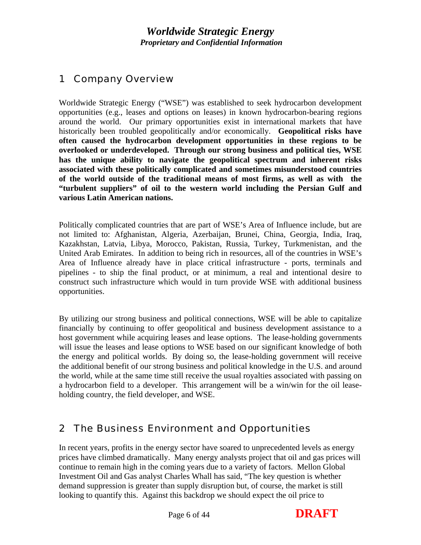## <span id="page-5-0"></span>1 Company Overview

Worldwide Strategic Energy ("WSE") was established to seek hydrocarbon development opportunities (e.g., leases and options on leases) in known hydrocarbon-bearing regions around the world. Our primary opportunities exist in international markets that have historically been troubled geopolitically and/or economically. **Geopolitical risks have often caused the hydrocarbon development opportunities in these regions to be overlooked or underdeveloped. Through our strong business and political ties, WSE has the unique ability to navigate the geopolitical spectrum and inherent risks associated with these politically complicated and sometimes misunderstood countries of the world outside of the traditional means of most firms, as well as with the "turbulent suppliers" of oil to the western world including the Persian Gulf and various Latin American nations.**

Politically complicated countries that are part of WSE's Area of Influence include, but are not limited to: Afghanistan, Algeria, Azerbaijan, Brunei, China, Georgia, India, Iraq, Kazakhstan, Latvia, Libya, Morocco, Pakistan, Russia, Turkey, Turkmenistan, and the United Arab Emirates. In addition to being rich in resources, all of the countries in WSE's Area of Influence already have in place critical infrastructure - ports, terminals and pipelines - to ship the final product, or at minimum, a real and intentional desire to construct such infrastructure which would in turn provide WSE with additional business opportunities.

By utilizing our strong business and political connections, WSE will be able to capitalize financially by continuing to offer geopolitical and business development assistance to a host government while acquiring leases and lease options. The lease-holding governments will issue the leases and lease options to WSE based on our significant knowledge of both the energy and political worlds. By doing so, the lease-holding government will receive the additional benefit of our strong business and political knowledge in the U.S. and around the world, while at the same time still receive the usual royalties associated with passing on a hydrocarbon field to a developer. This arrangement will be a win/win for the oil leaseholding country, the field developer, and WSE.

## 2 The Business Environment and Opportunities

In recent years, profits in the energy sector have soared to unprecedented levels as energy prices have climbed dramatically. Many energy analysts project that oil and gas prices will continue to remain high in the coming years due to a variety of factors. Mellon Global Investment Oil and Gas analyst Charles Whall has said, "The key question is whether demand suppression is greater than supply disruption but, of course, the market is still looking to quantify this. Against this backdrop we should expect the oil price to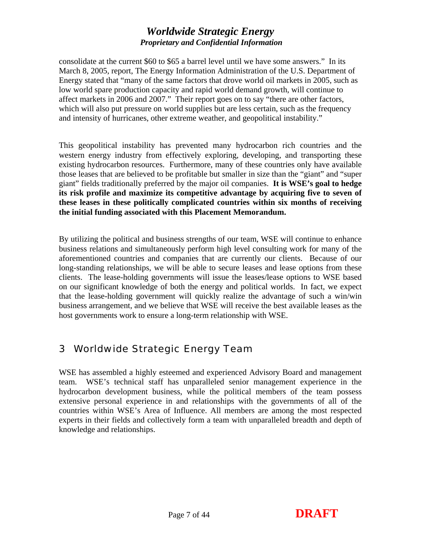<span id="page-6-0"></span>consolidate at the current \$60 to \$65 a barrel level until we have some answers." In its March 8, 2005, report, The Energy Information Administration of the U.S. Department of Energy stated that "many of the same factors that drove world oil markets in 2005, such as low world spare production capacity and rapid world demand growth, will continue to affect markets in 2006 and 2007." Their report goes on to say "there are other factors, which will also put pressure on world supplies but are less certain, such as the frequency and intensity of hurricanes, other extreme weather, and geopolitical instability."

This geopolitical instability has prevented many hydrocarbon rich countries and the western energy industry from effectively exploring, developing, and transporting these existing hydrocarbon resources. Furthermore, many of these countries only have available those leases that are believed to be profitable but smaller in size than the "giant" and "super giant" fields traditionally preferred by the major oil companies. **It is WSE's goal to hedge its risk profile and maximize its competitive advantage by acquiring five to seven of these leases in these politically complicated countries within six months of receiving the initial funding associated with this Placement Memorandum.**

By utilizing the political and business strengths of our team, WSE will continue to enhance business relations and simultaneously perform high level consulting work for many of the aforementioned countries and companies that are currently our clients. Because of our long-standing relationships, we will be able to secure leases and lease options from these clients. The lease-holding governments will issue the leases/lease options to WSE based on our significant knowledge of both the energy and political worlds. In fact, we expect that the lease-holding government will quickly realize the advantage of such a win/win business arrangement, and we believe that WSE will receive the best available leases as the host governments work to ensure a long-term relationship with WSE.

## 3 Worldwide Strategic Energy Team

WSE has assembled a highly esteemed and experienced Advisory Board and management team. WSE's technical staff has unparalleled senior management experience in the hydrocarbon development business, while the political members of the team possess extensive personal experience in and relationships with the governments of all of the countries within WSE's Area of Influence. All members are among the most respected experts in their fields and collectively form a team with unparalleled breadth and depth of knowledge and relationships.

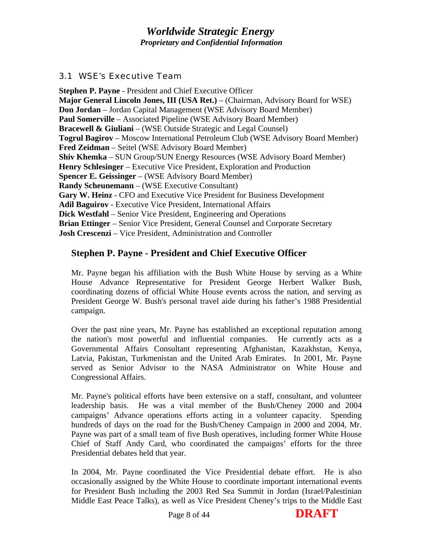## <span id="page-7-0"></span>*3.1 WSE's Executive Team*

**Stephen P. Payne** - President and Chief Executive Officer **Major General Lincoln Jones, III (USA Ret.)** – (Chairman, Advisory Board for WSE) **Don Jordan** – Jordan Capital Management (WSE Advisory Board Member) **Paul Somerville** – Associated Pipeline (WSE Advisory Board Member) **Bracewell & Giuliani** – (WSE Outside Strategic and Legal Counsel) **Togrul Bagirov** – Moscow International Petroleum Club (WSE Advisory Board Member) **Fred Zeidman** – Seitel (WSE Advisory Board Member) **Shiv Khemka** – SUN Group/SUN Energy Resources (WSE Advisory Board Member) **Henry Schlesinger** – Executive Vice President, Exploration and Production **Spencer E. Geissinger** – (WSE Advisory Board Member) **Randy Scheunemann** – (WSE Executive Consultant) **Gary W. Heinz** - CFO and Executive Vice President for Business Development **Adil Baguirov** - Executive Vice President, International Affairs **Dick Westfahl** – Senior Vice President, Engineering and Operations **Brian Ettinger** – Senior Vice President, General Counsel and Corporate Secretary **Josh Crescenzi** – Vice President, Administration and Controller

## **Stephen P. Payne - President and Chief Executive Officer**

Mr. Payne began his affiliation with the Bush White House by serving as a White House Advance Representative for President George Herbert Walker Bush, coordinating dozens of official White House events across the nation, and serving as President George W. Bush's personal travel aide during his father's 1988 Presidential campaign.

Over the past nine years, Mr. Payne has established an exceptional reputation among the nation's most powerful and influential companies. He currently acts as a Governmental Affairs Consultant representing Afghanistan, Kazakhstan, Kenya, Latvia, Pakistan, Turkmenistan and the United Arab Emirates. In 2001, Mr. Payne served as Senior Advisor to the NASA Administrator on White House and Congressional Affairs.

Mr. Payne's political efforts have been extensive on a staff, consultant, and volunteer leadership basis. He was a vital member of the Bush/Cheney 2000 and 2004 campaigns' Advance operations efforts acting in a volunteer capacity. Spending hundreds of days on the road for the Bush/Cheney Campaign in 2000 and 2004, Mr. Payne was part of a small team of five Bush operatives, including former White House Chief of Staff Andy Card, who coordinated the campaigns' efforts for the three Presidential debates held that year.

In 2004, Mr. Payne coordinated the Vice Presidential debate effort. He is also occasionally assigned by the White House to coordinate important international events for President Bush including the 2003 Red Sea Summit in Jordan (Israel/Palestinian Middle East Peace Talks), as well as Vice President Cheney's trips to the Middle East

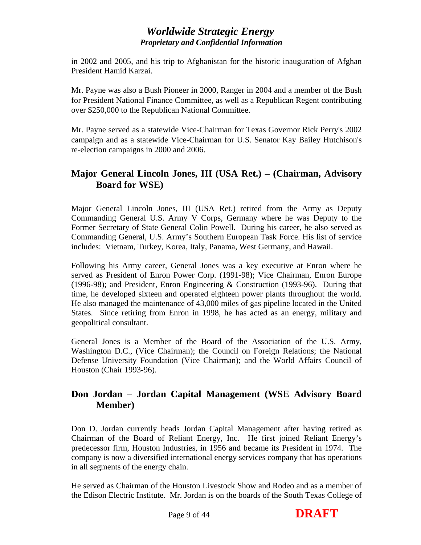in 2002 and 2005, and his trip to Afghanistan for the historic inauguration of Afghan President Hamid Karzai.

Mr. Payne was also a Bush Pioneer in 2000, Ranger in 2004 and a member of the Bush for President National Finance Committee, as well as a Republican Regent contributing over \$250,000 to the Republican National Committee.

Mr. Payne served as a statewide Vice-Chairman for Texas Governor Rick Perry's 2002 campaign and as a statewide Vice-Chairman for U.S. Senator Kay Bailey Hutchison's re-election campaigns in 2000 and 2006.

## **Major General Lincoln Jones, III (USA Ret.) – (Chairman, Advisory Board for WSE)**

Major General Lincoln Jones, III (USA Ret.) retired from the Army as Deputy Commanding General U.S. Army V Corps, Germany where he was Deputy to the Former Secretary of State General Colin Powell. During his career, he also served as Commanding General, U.S. Army's Southern European Task Force. His list of service includes: Vietnam, Turkey, Korea, Italy, Panama, West Germany, and Hawaii.

Following his Army career, General Jones was a key executive at Enron where he served as President of Enron Power Corp. (1991-98); Vice Chairman, Enron Europe (1996-98); and President, Enron Engineering & Construction (1993-96). During that time, he developed sixteen and operated eighteen power plants throughout the world. He also managed the maintenance of 43,000 miles of gas pipeline located in the United States. Since retiring from Enron in 1998, he has acted as an energy, military and geopolitical consultant.

General Jones is a Member of the Board of the Association of the U.S. Army, Washington D.C., (Vice Chairman); the Council on Foreign Relations; the National Defense University Foundation (Vice Chairman); and the World Affairs Council of Houston (Chair 1993-96).

## **Don Jordan – Jordan Capital Management (WSE Advisory Board Member)**

Don D. Jordan currently heads Jordan Capital Management after having retired as Chairman of the Board of Reliant Energy, Inc. He first joined Reliant Energy's predecessor firm, Houston Industries, in 1956 and became its President in 1974. The company is now a diversified international energy services company that has operations in all segments of the energy chain.

He served as Chairman of the Houston Livestock Show and Rodeo and as a member of the Edison Electric Institute. Mr. Jordan is on the boards of the South Texas College of

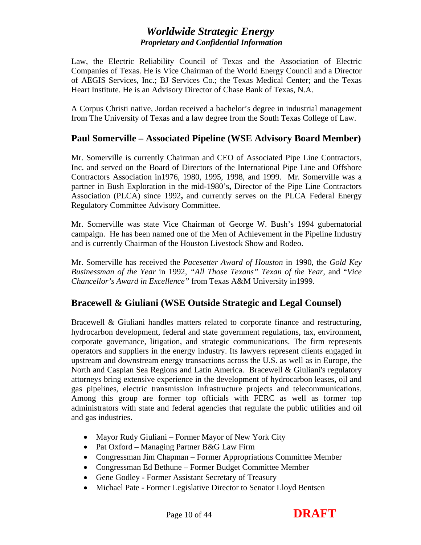Law, the Electric Reliability Council of Texas and the Association of Electric Companies of Texas. He is Vice Chairman of the World Energy Council and a Director of AEGIS Services, Inc.; BJ Services Co.; the Texas Medical Center; and the Texas Heart Institute. He is an Advisory Director of Chase Bank of Texas, N.A.

A Corpus Christi native, Jordan received a bachelor's degree in industrial management from The University of Texas and a law degree from the South Texas College of Law.

#### **Paul Somerville – Associated Pipeline (WSE Advisory Board Member)**

Mr. Somerville is currently Chairman and CEO of Associated Pipe Line Contractors, Inc. and served on the Board of Directors of the International Pipe Line and Offshore Contractors Association in1976, 1980, 1995, 1998, and 1999. Mr. Somerville was a partner in Bush Exploration in the mid-1980's**,** Director of the Pipe Line Contractors Association (PLCA) since 1992**,** and currently serves on the PLCA Federal Energy Regulatory Committee Advisory Committee.

Mr. Somerville was state Vice Chairman of George W. Bush's 1994 gubernatorial campaign. He has been named one of the Men of Achievement in the Pipeline Industry and is currently Chairman of the Houston Livestock Show and Rodeo.

Mr. Somerville has received the *Pacesetter Award of Houston* in 1990, the *Gold Key Businessman of the Year* in 1992, *"All Those Texans" Texan of the Year*, and "*Vice Chancellor's Award in Excellence"* from Texas A&M University in1999.

#### **Bracewell & Giuliani (WSE Outside Strategic and Legal Counsel)**

Bracewell & Giuliani handles matters related to corporate finance and restructuring, hydrocarbon development, federal and state government regulations, tax, environment, corporate governance, litigation, and strategic communications. The firm represents operators and suppliers in the energy industry. Its lawyers represent clients engaged in upstream and downstream energy transactions across the U.S. as well as in Europe, the North and Caspian Sea Regions and Latin America. Bracewell & Giuliani's regulatory attorneys bring extensive experience in the development of hydrocarbon leases, oil and gas pipelines, electric transmission infrastructure projects and telecommunications. Among this group are former top officials with FERC as well as former top administrators with state and federal agencies that regulate the public utilities and oil and gas industries.

- Mayor Rudy Giuliani Former Mayor of New York City
- Pat Oxford Managing Partner B&G Law Firm
- Congressman Jim Chapman Former Appropriations Committee Member
- Congressman Ed Bethune Former Budget Committee Member
- Gene Godley Former Assistant Secretary of Treasury
- Michael Pate Former Legislative Director to Senator Lloyd Bentsen

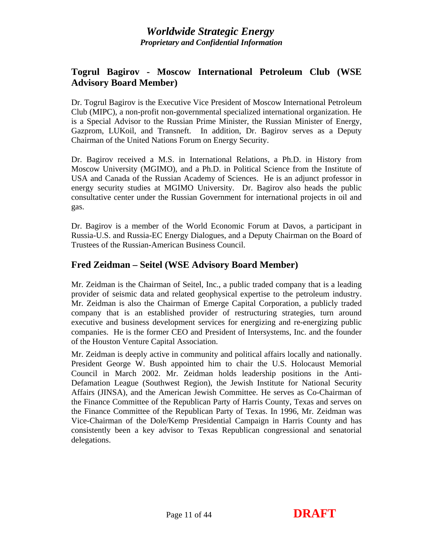## **Togrul Bagirov - Moscow International Petroleum Club (WSE Advisory Board Member)**

Dr. Togrul Bagirov is the Executive Vice President of Moscow International Petroleum Club (MIPC), a non-profit non-governmental specialized international organization. He is a Special Advisor to the Russian Prime Minister, the Russian Minister of Energy, Gazprom, LUKoil, and Transneft. In addition, Dr. Bagirov serves as a Deputy Chairman of the United Nations Forum on Energy Security.

Dr. Bagirov received a M.S. in International Relations, a Ph.D. in History from Moscow University (MGIMO), and a Ph.D. in Political Science from the Institute of USA and Canada of the Russian Academy of Sciences. He is an adjunct professor in energy security studies at MGIMO University. Dr. Bagirov also heads the public consultative center under the Russian Government for international projects in oil and gas.

Dr. Bagirov is a member of the World Economic Forum at Davos, a participant in Russia-U.S. and Russia-EC Energy Dialogues, and a Deputy Chairman on the Board of Trustees of the Russian-American Business Council.

## **Fred Zeidman – Seitel (WSE Advisory Board Member)**

Mr. Zeidman is the Chairman of Seitel, Inc., a public traded company that is a leading provider of seismic data and related geophysical expertise to the petroleum industry. Mr. Zeidman is also the Chairman of Emerge Capital Corporation, a publicly traded company that is an established provider of restructuring strategies, turn around executive and business development services for energizing and re-energizing public companies. He is the former CEO and President of Intersystems, Inc. and the founder of the Houston Venture Capital Association.

Mr. Zeidman is deeply active in community and political affairs locally and nationally. President George W. Bush appointed him to chair the U.S. Holocaust Memorial Council in March 2002. Mr. Zeidman holds leadership positions in the Anti-Defamation League (Southwest Region), the Jewish Institute for National Security Affairs (JINSA), and the American Jewish Committee. He serves as Co-Chairman of the Finance Committee of the Republican Party of Harris County, Texas and serves on the Finance Committee of the Republican Party of Texas. In 1996, Mr. Zeidman was Vice-Chairman of the Dole/Kemp Presidential Campaign in Harris County and has consistently been a key advisor to Texas Republican congressional and senatorial delegations.

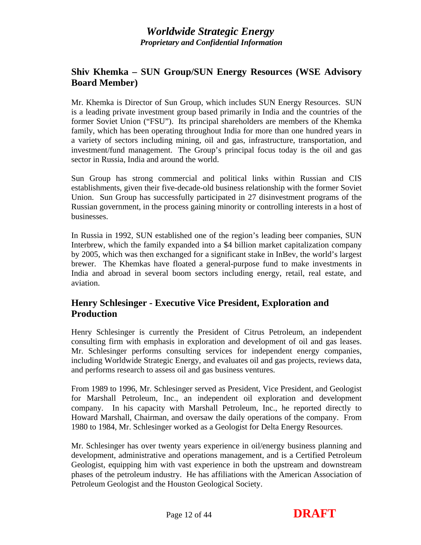## **Shiv Khemka – SUN Group/SUN Energy Resources (WSE Advisory Board Member)**

Mr. Khemka is Director of Sun Group, which includes SUN Energy Resources. SUN is a leading private investment group based primarily in India and the countries of the former Soviet Union ("FSU"). Its principal shareholders are members of the Khemka family, which has been operating throughout India for more than one hundred years in a variety of sectors including mining, oil and gas, infrastructure, transportation, and investment/fund management. The Group's principal focus today is the oil and gas sector in Russia, India and around the world.

Sun Group has strong commercial and political links within Russian and CIS establishments, given their five-decade-old business relationship with the former Soviet Union. Sun Group has successfully participated in 27 disinvestment programs of the Russian government, in the process gaining minority or controlling interests in a host of businesses.

In Russia in 1992, SUN established one of the region's leading beer companies, SUN Interbrew, which the family expanded into a \$4 billion market capitalization company by 2005, which was then exchanged for a significant stake in InBev, the world's largest brewer. The Khemkas have floated a general-purpose fund to make investments in India and abroad in several boom sectors including energy, retail, real estate, and aviation.

## **Henry Schlesinger - Executive Vice President, Exploration and Production**

Henry Schlesinger is currently the President of Citrus Petroleum, an independent consulting firm with emphasis in exploration and development of oil and gas leases. Mr. Schlesinger performs consulting services for independent energy companies, including Worldwide Strategic Energy, and evaluates oil and gas projects, reviews data, and performs research to assess oil and gas business ventures.

From 1989 to 1996, Mr. Schlesinger served as President, Vice President, and Geologist for Marshall Petroleum, Inc., an independent oil exploration and development company. In his capacity with Marshall Petroleum, Inc., he reported directly to Howard Marshall, Chairman, and oversaw the daily operations of the company. From 1980 to 1984, Mr. Schlesinger worked as a Geologist for Delta Energy Resources.

Mr. Schlesinger has over twenty years experience in oil/energy business planning and development, administrative and operations management, and is a Certified Petroleum Geologist, equipping him with vast experience in both the upstream and downstream phases of the petroleum industry. He has affiliations with the American Association of Petroleum Geologist and the Houston Geological Society.

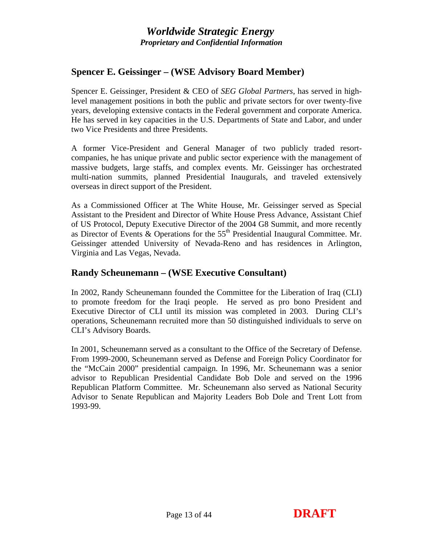## **Spencer E. Geissinger – (WSE Advisory Board Member)**

Spencer E. Geissinger, President & CEO of *SEG Global Partners*, has served in highlevel management positions in both the public and private sectors for over twenty-five years, developing extensive contacts in the Federal government and corporate America. He has served in key capacities in the U.S. Departments of State and Labor, and under two Vice Presidents and three Presidents.

A former Vice-President and General Manager of two publicly traded resortcompanies, he has unique private and public sector experience with the management of massive budgets, large staffs, and complex events. Mr. Geissinger has orchestrated multi-nation summits, planned Presidential Inaugurals, and traveled extensively overseas in direct support of the President.

As a Commissioned Officer at The White House, Mr. Geissinger served as Special Assistant to the President and Director of White House Press Advance, Assistant Chief of US Protocol, Deputy Executive Director of the 2004 G8 Summit, and more recently as Director of Events & Operations for the  $55<sup>th</sup>$  Presidential Inaugural Committee. Mr. Geissinger attended University of Nevada-Reno and has residences in Arlington, Virginia and Las Vegas, Nevada.

#### **Randy Scheunemann – (WSE Executive Consultant)**

In 2002, Randy Scheunemann founded the Committee for the Liberation of Iraq (CLI) to promote freedom for the Iraqi people. He served as pro bono President and Executive Director of CLI until its mission was completed in 2003. During CLI's operations, Scheunemann recruited more than 50 distinguished individuals to serve on CLI's Advisory Boards.

In 2001, Scheunemann served as a consultant to the Office of the Secretary of Defense. From 1999-2000, Scheunemann served as Defense and Foreign Policy Coordinator for the "McCain 2000" presidential campaign. In 1996, Mr. Scheunemann was a senior advisor to Republican Presidential Candidate Bob Dole and served on the 1996 Republican Platform Committee. Mr. Scheunemann also served as National Security Advisor to Senate Republican and Majority Leaders Bob Dole and Trent Lott from 1993-99.

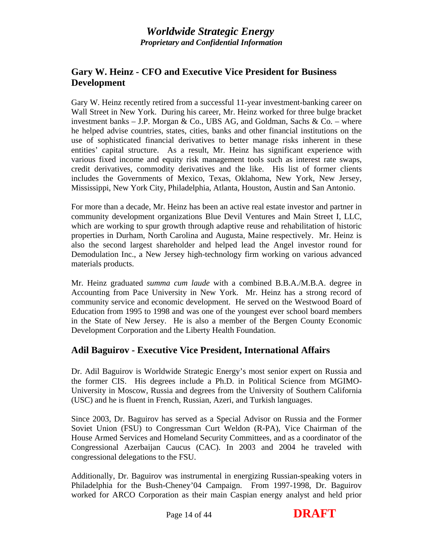## **Gary W. Heinz - CFO and Executive Vice President for Business Development**

Gary W. Heinz recently retired from a successful 11-year investment-banking career on Wall Street in New York. During his career, Mr. Heinz worked for three bulge bracket investment banks – J.P. Morgan & Co., UBS AG, and Goldman, Sachs & Co. – where he helped advise countries, states, cities, banks and other financial institutions on the use of sophisticated financial derivatives to better manage risks inherent in these entities' capital structure. As a result, Mr. Heinz has significant experience with various fixed income and equity risk management tools such as interest rate swaps, credit derivatives, commodity derivatives and the like. His list of former clients includes the Governments of Mexico, Texas, Oklahoma, New York, New Jersey, Mississippi, New York City, Philadelphia, Atlanta, Houston, Austin and San Antonio.

For more than a decade, Mr. Heinz has been an active real estate investor and partner in community development organizations Blue Devil Ventures and Main Street I, LLC, which are working to spur growth through adaptive reuse and rehabilitation of historic properties in Durham, North Carolina and Augusta, Maine respectively. Mr. Heinz is also the second largest shareholder and helped lead the Angel investor round for Demodulation Inc., a New Jersey high-technology firm working on various advanced materials products.

Mr. Heinz graduated *summa cum laude* with a combined B.B.A./M.B.A. degree in Accounting from Pace University in New York. Mr. Heinz has a strong record of community service and economic development. He served on the Westwood Board of Education from 1995 to 1998 and was one of the youngest ever school board members in the State of New Jersey. He is also a member of the Bergen County Economic Development Corporation and the Liberty Health Foundation.

## **Adil Baguirov - Executive Vice President, International Affairs**

Dr. Adil Baguirov is Worldwide Strategic Energy's most senior expert on Russia and the former CIS. His degrees include a Ph.D. in Political Science from MGIMO-University in Moscow, Russia and degrees from the University of Southern California (USC) and he is fluent in French, Russian, Azeri, and Turkish languages.

Since 2003, Dr. Baguirov has served as a Special Advisor on Russia and the Former Soviet Union (FSU) to Congressman Curt Weldon (R-PA), Vice Chairman of the House Armed Services and Homeland Security Committees, and as a coordinator of the Congressional Azerbaijan Caucus (CAC). In 2003 and 2004 he traveled with congressional delegations to the FSU.

Additionally, Dr. Baguirov was instrumental in energizing Russian-speaking voters in Philadelphia for the Bush-Cheney'04 Campaign. From 1997-1998, Dr. Baguirov worked for ARCO Corporation as their main Caspian energy analyst and held prior

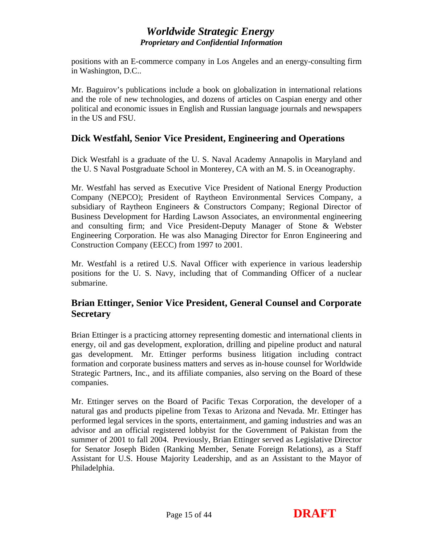positions with an E-commerce company in Los Angeles and an energy-consulting firm in Washington, D.C..

Mr. Baguirov's publications include a book on globalization in international relations and the role of new technologies, and dozens of articles on Caspian energy and other political and economic issues in English and Russian language journals and newspapers in the US and FSU.

#### **Dick Westfahl, Senior Vice President, Engineering and Operations**

Dick Westfahl is a graduate of the U. S. Naval Academy Annapolis in Maryland and the U. S Naval Postgraduate School in Monterey, CA with an M. S. in Oceanography.

Mr. Westfahl has served as Executive Vice President of National Energy Production Company (NEPCO); President of Raytheon Environmental Services Company, a subsidiary of Raytheon Engineers & Constructors Company; Regional Director of Business Development for Harding Lawson Associates, an environmental engineering and consulting firm; and Vice President-Deputy Manager of Stone & Webster Engineering Corporation. He was also Managing Director for Enron Engineering and Construction Company (EECC) from 1997 to 2001.

Mr. Westfahl is a retired U.S. Naval Officer with experience in various leadership positions for the U. S. Navy, including that of Commanding Officer of a nuclear submarine.

## **Brian Ettinger, Senior Vice President, General Counsel and Corporate Secretary**

Brian Ettinger is a practicing attorney representing domestic and international clients in energy, oil and gas development, exploration, drilling and pipeline product and natural gas development. Mr. Ettinger performs business litigation including contract formation and corporate business matters and serves as in-house counsel for Worldwide Strategic Partners, Inc., and its affiliate companies, also serving on the Board of these companies.

Mr. Ettinger serves on the Board of Pacific Texas Corporation, the developer of a natural gas and products pipeline from Texas to Arizona and Nevada. Mr. Ettinger has performed legal services in the sports, entertainment, and gaming industries and was an advisor and an official registered lobbyist for the Government of Pakistan from the summer of 2001 to fall 2004. Previously, Brian Ettinger served as Legislative Director for Senator Joseph Biden (Ranking Member, Senate Foreign Relations), as a Staff Assistant for U.S. House Majority Leadership, and as an Assistant to the Mayor of Philadelphia.

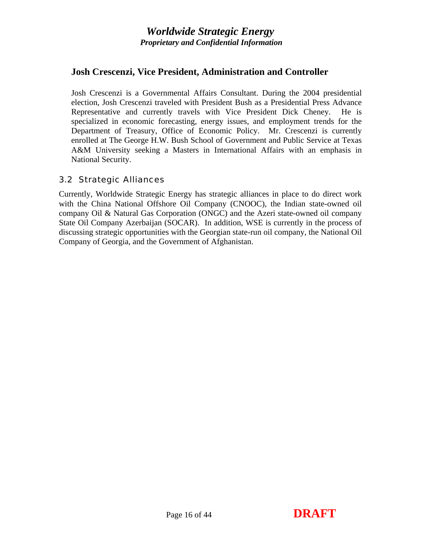### <span id="page-15-0"></span>**Josh Crescenzi, Vice President, Administration and Controller**

Josh Crescenzi is a Governmental Affairs Consultant. During the 2004 presidential election, Josh Crescenzi traveled with President Bush as a Presidential Press Advance Representative and currently travels with Vice President Dick Cheney. He is specialized in economic forecasting, energy issues, and employment trends for the Department of Treasury, Office of Economic Policy. Mr. Crescenzi is currently enrolled at The George H.W. Bush School of Government and Public Service at Texas A&M University seeking a Masters in International Affairs with an emphasis in National Security.

#### *3.2 Strategic Alliances*

Currently, Worldwide Strategic Energy has strategic alliances in place to do direct work with the China National Offshore Oil Company (CNOOC), the Indian state-owned oil company Oil & Natural Gas Corporation (ONGC) and the Azeri state-owned oil company State Oil Company Azerbaijan (SOCAR). In addition, WSE is currently in the process of discussing strategic opportunities with the Georgian state-run oil company, the National Oil Company of Georgia, and the Government of Afghanistan.



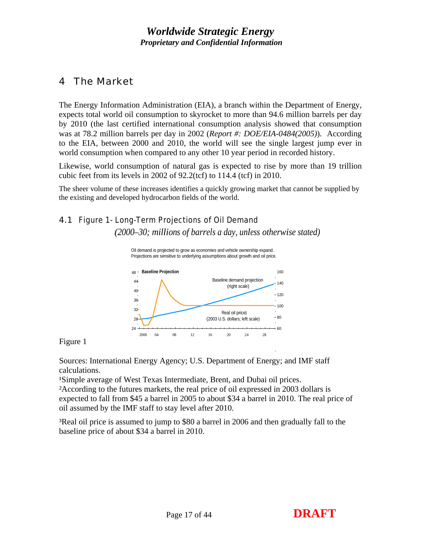## <span id="page-16-0"></span>4 The Market

The Energy Information Administration (EIA), a branch within the Department of Energy, expects total world oil consumption to skyrocket to more than 94.6 million barrels per day by 2010 (the last certified international consumption analysis showed that consumption was at 78.2 million barrels per day in 2002 (*Report #: DOE/EIA-0484(2005)*). According to the EIA, between 2000 and 2010, the world will see the single largest jump ever in world consumption when compared to any other 10 year period in recorded history.

Likewise, world consumption of natural gas is expected to rise by more than 19 trillion cubic feet from its levels in 2002 of 92.2(tcf) to 114.4 (tcf) in 2010.

The sheer volume of these increases identifies a quickly growing market that cannot be supplied by the existing and developed hydrocarbon fields of the world.

#### *4.1 Figure 1- Long-Term Projections of Oil Demand*

*(2000–30; millions of barrels a day, unless otherwise stated)*





Figure 1

Sources: International Energy Agency; U.S. Department of Energy; and IMF staff calculations.

<sup>1</sup>Simple average of West Texas Intermediate, Brent, and Dubai oil prices.

²According to the futures markets, the real price of oil expressed in 2003 dollars is expected to fall from \$45 a barrel in 2005 to about \$34 a barrel in 2010. The real price of oil assumed by the IMF staff to stay level after 2010.

³Real oil price is assumed to jump to \$80 a barrel in 2006 and then gradually fall to the baseline price of about \$34 a barrel in 2010.

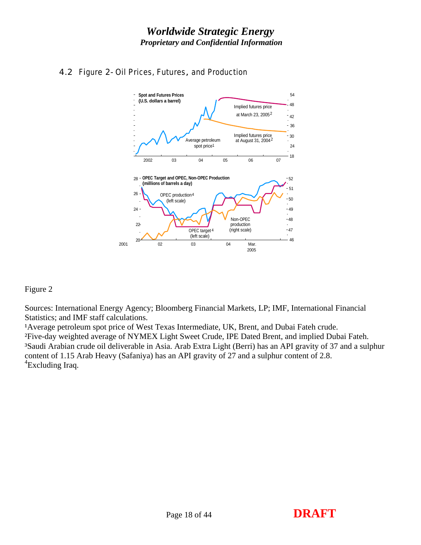

## <span id="page-17-0"></span>*4.2 Figure 2- Oil Prices, Futures, and Production*

#### Figure 2

Sources: International Energy Agency; Bloomberg Financial Markets, LP; IMF, International Financial Statistics; and IMF staff calculations.

<sup>1</sup>Average petroleum spot price of West Texas Intermediate, UK, Brent, and Dubai Fateh crude. ²Five-day weighted average of NYMEX Light Sweet Crude, IPE Dated Brent, and implied Dubai Fateh. ³Saudi Arabian crude oil deliverable in Asia. Arab Extra Light (Berri) has an API gravity of 37 and a sulphur content of 1.15 Arab Heavy (Safaniya) has an API gravity of 27 and a sulphur content of 2.8. <sup>4</sup>Excluding Iraq.

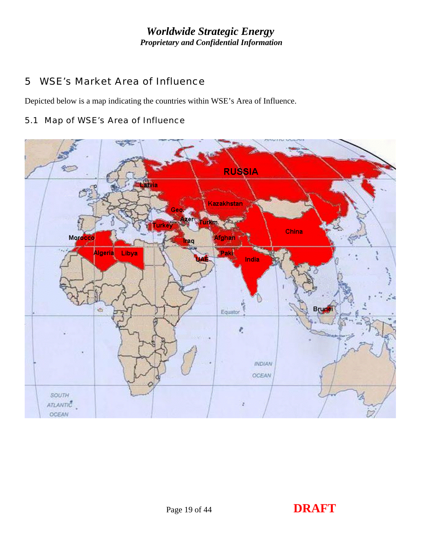## <span id="page-18-0"></span>5 WSE's Market Area of Influence

Depicted below is a map indicating the countries within WSE's Area of Influence.

## *5.1 Map of WSE's Area of Influence*

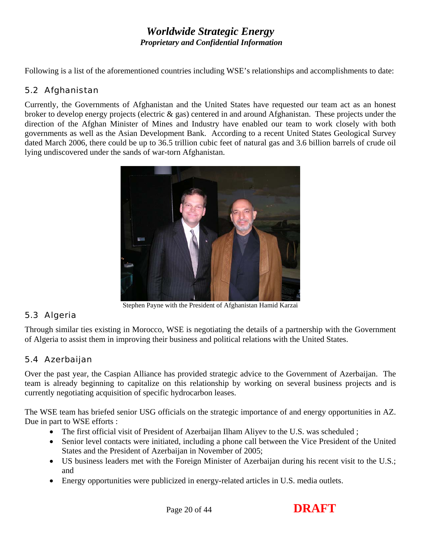<span id="page-19-0"></span>Following is a list of the aforementioned countries including WSE's relationships and accomplishments to date:

## *5.2 Afghanistan*

Currently, the Governments of Afghanistan and the United States have requested our team act as an honest broker to develop energy projects (electric & gas) centered in and around Afghanistan. These projects under the direction of the Afghan Minister of Mines and Industry have enabled our team to work closely with both governments as well as the Asian Development Bank. According to a recent United States Geological Survey dated March 2006, there could be up to 36.5 trillion cubic feet of natural gas and 3.6 billion barrels of crude oil lying undiscovered under the sands of war-torn Afghanistan.

<span id="page-19-1"></span>

Stephen Payne with the President of Afghanistan Hamid Karzai

## *5.3 Algeria*

Through similar ties existing in Morocco, WSE is negotiating the details of a partnership with the Government of Algeria to assist them in improving their business and political relations with the United States.

## *5.4 Azerbaijan*

Over the past year, the Caspian Alliance has provided strategic advice to the Government of Azerbaijan. The team is already beginning to capitalize on this relationship by working on several business projects and is currently negotiating acquisition of specific hydrocarbon leases.

The WSE team has briefed senior USG officials on the strategic importance of and energy opportunities in AZ. Due in part to WSE efforts :

- The first official visit of President of Azerbaijan Ilham Aliyev to the U.S. was scheduled;
- Senior level contacts were initiated, including a phone call between the Vice President of the United States and the President of Azerbaijan in November of 2005;
- US business leaders met with the Foreign Minister of Azerbaijan during his recent visit to the U.S.; and
- Energy opportunities were publicized in energy-related articles in U.S. media outlets.

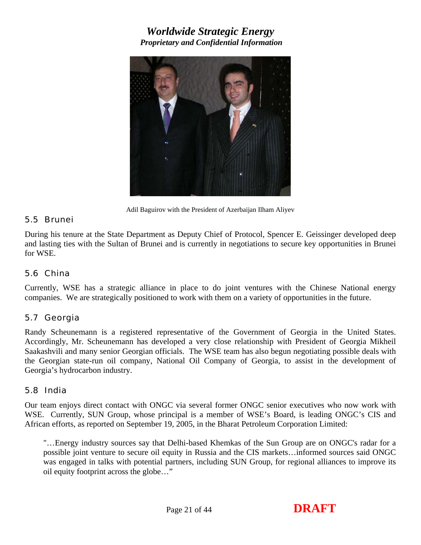<span id="page-20-0"></span>

Adil Baguirov with the President of Azerbaijan Ilham Aliyev

#### *5.5 Brunei*

During his tenure at the State Department as Deputy Chief of Protocol, Spencer E. Geissinger developed deep and lasting ties with the Sultan of Brunei and is currently in negotiations to secure key opportunities in Brunei for WSE.

#### *5.6 China*

Currently, WSE has a strategic alliance in place to do joint ventures with the Chinese National energy companies. We are strategically positioned to work with them on a variety of opportunities in the future.

#### *5.7 Georgia*

Randy Scheunemann is a registered representative of the Government of Georgia in the United States. Accordingly, Mr. Scheunemann has developed a very close relationship with President of Georgia Mikheil Saakashvili and many senior Georgian officials. The WSE team has also begun negotiating possible deals with the Georgian state-run oil company, National Oil Company of Georgia, to assist in the development of Georgia's hydrocarbon industry.

#### *5.8 India*

Our team enjoys direct contact with ONGC via several former ONGC senior executives who now work with WSE. Currently, SUN Group, whose principal is a member of WSE's Board, is leading ONGC's CIS and African efforts, as reported on September 19, 2005, in the Bharat Petroleum Corporation Limited:

"…Energy industry sources say that Delhi-based Khemkas of the Sun Group are on ONGC's radar for a possible joint venture to secure oil equity in Russia and the CIS markets…informed sources said ONGC was engaged in talks with potential partners, including SUN Group, for regional alliances to improve its oil equity footprint across the globe…"

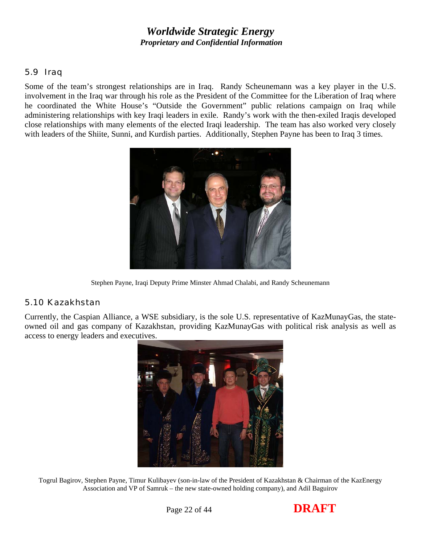#### <span id="page-21-0"></span>*5.9 Iraq*

Some of the team's strongest relationships are in Iraq. Randy Scheunemann was a key player in the U.S. involvement in the Iraq war through his role as the President of the Committee for the Liberation of Iraq where he coordinated the White House's "Outside the Government" public relations campaign on Iraq while administering relationships with key Iraqi leaders in exile. Randy's work with the then-exiled Iraqis developed close relationships with many elements of the elected Iraqi leadership. The team has also worked very closely with leaders of the Shiite, Sunni, and Kurdish parties. Additionally, Stephen Payne has been to Iraq 3 times.



Stephen Payne, Iraqi Deputy Prime Minster Ahmad Chalabi, and Randy Scheunemann

#### *5.10 Kazakhstan*

Currently, the Caspian Alliance, a WSE subsidiary, is the sole U.S. representative of KazMunayGas, the stateowned oil and gas company of Kazakhstan, providing KazMunayGas with political risk analysis as well as access to energy leaders and executives.



Togrul Bagirov, Stephen Payne, Timur Kulibayev (son-in-law of the President of Kazakhstan & Chairman of the KazEnergy Association and VP of Samruk – the new state-owned holding company), and Adil Baguirov

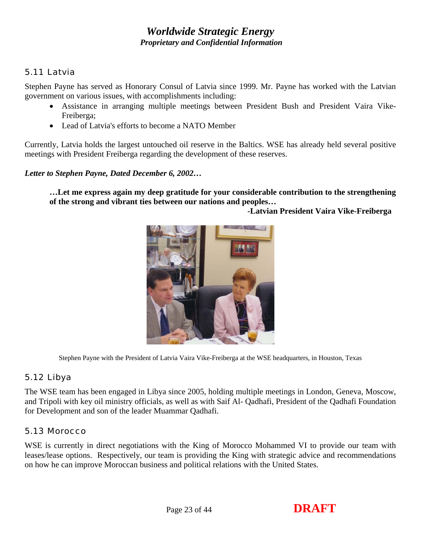## <span id="page-22-0"></span>*5.11 Latvia*

Stephen Payne has served as Honorary Consul of Latvia since 1999. Mr. Payne has worked with the Latvian government on various issues, with accomplishments including:

- Assistance in arranging multiple meetings between President Bush and President Vaira Vike-Freiberga;
- Lead of Latvia's efforts to become a NATO Member

Currently, Latvia holds the largest untouched oil reserve in the Baltics. WSE has already held several positive meetings with President Freiberga regarding the development of these reserves.

*Letter to Stephen Payne, Dated December 6, 2002…* 

**…Let me express again my deep gratitude for your considerable contribution to the strengthening of the strong and vibrant ties between our nations and peoples…** 

 **-Latvian President Vaira Vike-Freiberga** 



Stephen Payne with the President of Latvia Vaira Vike-Freiberga at the WSE headquarters, in Houston, Texas

## *5.12 Libya*

The WSE team has been engaged in Libya since 2005, holding multiple meetings in London, Geneva, Moscow, and Tripoli with key oil ministry officials, as well as with Saif Al- Qadhafi, President of the Qadhafi Foundation for Development and son of the leader Muammar Qadhafi.

## *5.13 Morocco*

WSE is currently in direct negotiations with the King of Morocco Mohammed VI to provide our team with leases/lease options. Respectively, our team is providing the King with strategic advice and recommendations on how he can improve Moroccan business and political relations with the United States.

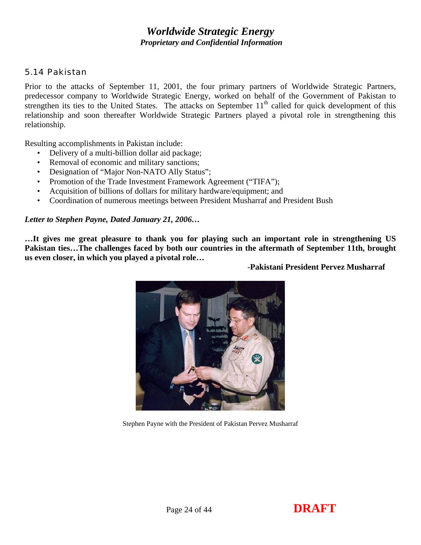#### <span id="page-23-0"></span>*5.14 Pakistan*

Prior to the attacks of September 11, 2001, the four primary partners of Worldwide Strategic Partners, predecessor company to Worldwide Strategic Energy, worked on behalf of the Government of Pakistan to strengthen its ties to the United States. The attacks on September  $11<sup>th</sup>$  called for quick development of this relationship and soon thereafter Worldwide Strategic Partners played a pivotal role in strengthening this relationship.

Resulting accomplishments in Pakistan include:

- Delivery of a multi-billion dollar aid package;
- Removal of economic and military sanctions;
- Designation of "Major Non-NATO Ally Status";
- Promotion of the Trade Investment Framework Agreement ("TIFA");
- Acquisition of billions of dollars for military hardware/equipment; and
- Coordination of numerous meetings between President Musharraf and President Bush

#### *Letter to Stephen Payne, Dated January 21, 2006…*

**…It gives me great pleasure to thank you for playing such an important role in strengthening US Pakistan ties…The challenges faced by both our countries in the aftermath of September 11th, brought us even closer, in which you played a pivotal role…** 



 **-Pakistani President Pervez Musharraf** 

Stephen Payne with the President of Pakistan Pervez Musharraf

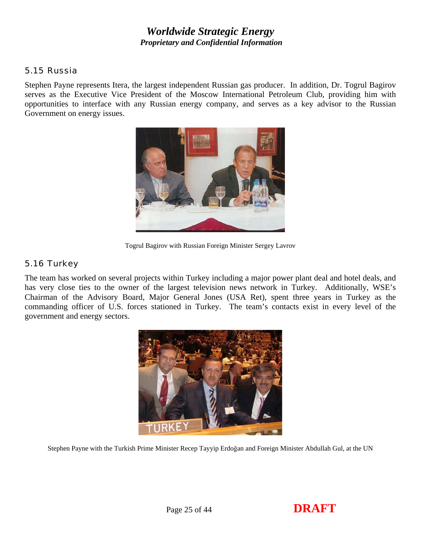#### <span id="page-24-0"></span>*5.15 Russia*

Stephen Payne represents Itera, the largest independent Russian gas producer. In addition, Dr. Togrul Bagirov serves as the Executive Vice President of the Moscow International Petroleum Club, providing him with opportunities to interface with any Russian energy company, and serves as a key advisor to the Russian Government on energy issues.



Togrul Bagirov with Russian Foreign Minister Sergey Lavrov

## *5.16 Turkey*

The team has worked on several projects within Turkey including a major power plant deal and hotel deals, and has very close ties to the owner of the largest television news network in Turkey. Additionally, WSE's Chairman of the Advisory Board, Major General Jones (USA Ret), spent three years in Turkey as the commanding officer of U.S. forces stationed in Turkey. The team's contacts exist in every level of the government and energy sectors.



Stephen Payne with the Turkish Prime Minister Recep Tayyip Erdoğan and Foreign Minister Abdullah Gul, at the UN

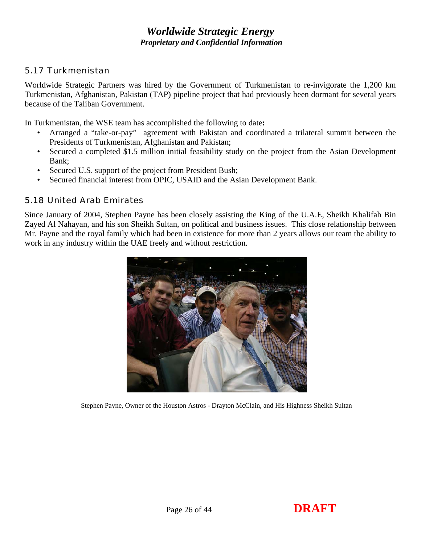#### <span id="page-25-0"></span>*5.17 Turkmenistan*

Worldwide Strategic Partners was hired by the Government of Turkmenistan to re-invigorate the 1,200 km Turkmenistan, Afghanistan, Pakistan (TAP) pipeline project that had previously been dormant for several years because of the Taliban Government.

In Turkmenistan, the WSE team has accomplished the following to date**:** 

- Arranged a "take-or-pay" agreement with Pakistan and coordinated a trilateral summit between the Presidents of Turkmenistan, Afghanistan and Pakistan;
- Secured a completed \$1.5 million initial feasibility study on the project from the Asian Development Bank;
- Secured U.S. support of the project from President Bush;
- Secured financial interest from OPIC, USAID and the Asian Development Bank.

#### *5.18 United Arab Emirates*

Since January of 2004, Stephen Payne has been closely assisting the King of the U.A.E, Sheikh Khalifah Bin Zayed Al Nahayan, and his son Sheikh Sultan, on political and business issues. This close relationship between Mr. Payne and the royal family which had been in existence for more than 2 years allows our team the ability to work in any industry within the UAE freely and without restriction.



Stephen Payne, Owner of the Houston Astros - Drayton McClain, and His Highness Sheikh Sultan

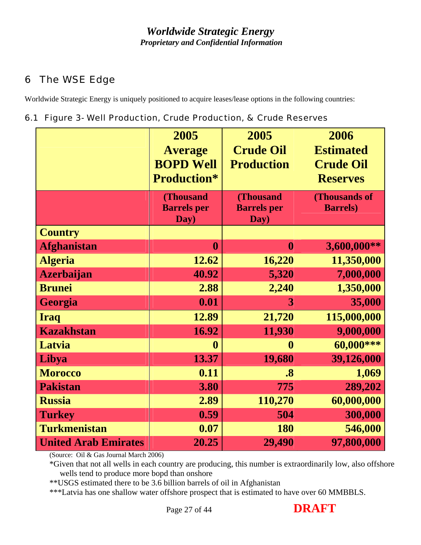## <span id="page-26-0"></span>6 The WSE Edge

Worldwide Strategic Energy is uniquely positioned to acquire leases/lease options in the following countries:

## *6.1 Figure 3- Well Production, Crude Production, & Crude Reserves*

|                             | 2005               | 2005               | 2006             |
|-----------------------------|--------------------|--------------------|------------------|
|                             | <b>Average</b>     | <b>Crude Oil</b>   | <b>Estimated</b> |
|                             | <b>BOPD Well</b>   | <b>Production</b>  | <b>Crude Oil</b> |
|                             | <b>Production*</b> |                    | <b>Reserves</b>  |
|                             | <b>(Thousand</b>   | (Thousand          | (Thousands of    |
|                             | <b>Barrels</b> per | <b>Barrels</b> per | <b>Barrels</b> ) |
|                             | Day)               | Day)               |                  |
| <b>Country</b>              |                    |                    |                  |
| <b>Afghanistan</b>          | $\boldsymbol{0}$   | $\boldsymbol{0}$   | 3,600,000**      |
| <b>Algeria</b>              | 12.62              | 16,220             | 11,350,000       |
| <b>Azerbaijan</b>           | 40.92              | 5,320              | 7,000,000        |
| <b>Brunei</b>               | 2.88               | 2,240              | 1,350,000        |
| Georgia                     | 0.01               | 3                  | 35,000           |
| <b>Iraq</b>                 | 12.89              | 21,720             | 115,000,000      |
| <b>Kazakhstan</b>           | 16.92              | 11,930             | 9,000,000        |
| Latvia                      | $\boldsymbol{0}$   | $\boldsymbol{0}$   | 60,000***        |
| Libya                       | 13.37              | 19,680             | 39,126,000       |
| <b>Morocco</b>              | 0.11               | $\boldsymbol{.8}$  | 1,069            |
| <b>Pakistan</b>             | 3.80               | 775                | 289,202          |
| <b>Russia</b>               | 2.89               | 110,270            | 60,000,000       |
| <b>Turkey</b>               | 0.59               | 504                | 300,000          |
| <b>Turkmenistan</b>         | 0.07               | <b>180</b>         | 546,000          |
| <b>United Arab Emirates</b> | 20.25              | 29,490             | 97,800,000       |

(Source: Oil & Gas Journal March 2006)

\*Given that not all wells in each country are producing, this number is extraordinarily low, also offshore wells tend to produce more bopd than onshore

\*\*USGS estimated there to be 3.6 billion barrels of oil in Afghanistan

\*\*\*Latvia has one shallow water offshore prospect that is estimated to have over 60 MMBBLS.

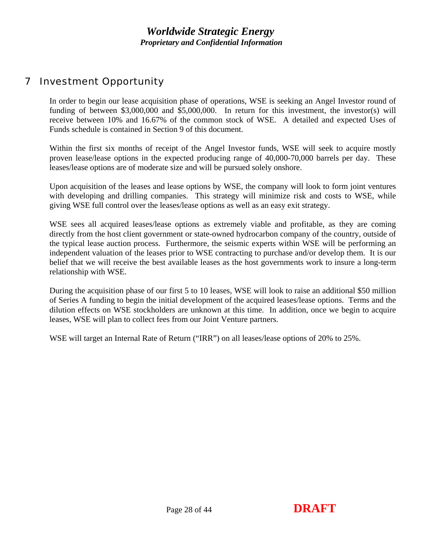## <span id="page-27-0"></span>7 Investment Opportunity

In order to begin our lease acquisition phase of operations, WSE is seeking an Angel Investor round of funding of between \$3,000,000 and \$5,000,000. In return for this investment, the investor(s) will receive between 10% and 16.67% of the common stock of WSE. A detailed and expected Uses of Funds schedule is contained in Section 9 of this document.

Within the first six months of receipt of the Angel Investor funds, WSE will seek to acquire mostly proven lease/lease options in the expected producing range of 40,000-70,000 barrels per day. These leases/lease options are of moderate size and will be pursued solely onshore.

Upon acquisition of the leases and lease options by WSE, the company will look to form joint ventures with developing and drilling companies. This strategy will minimize risk and costs to WSE, while giving WSE full control over the leases/lease options as well as an easy exit strategy.

WSE sees all acquired leases/lease options as extremely viable and profitable, as they are coming directly from the host client government or state-owned hydrocarbon company of the country, outside of the typical lease auction process. Furthermore, the seismic experts within WSE will be performing an independent valuation of the leases prior to WSE contracting to purchase and/or develop them. It is our belief that we will receive the best available leases as the host governments work to insure a long-term relationship with WSE.

During the acquisition phase of our first 5 to 10 leases, WSE will look to raise an additional \$50 million of Series A funding to begin the initial development of the acquired leases/lease options. Terms and the dilution effects on WSE stockholders are unknown at this time. In addition, once we begin to acquire leases, WSE will plan to collect fees from our Joint Venture partners.

WSE will target an Internal Rate of Return ("IRR") on all leases/lease options of 20% to 25%.

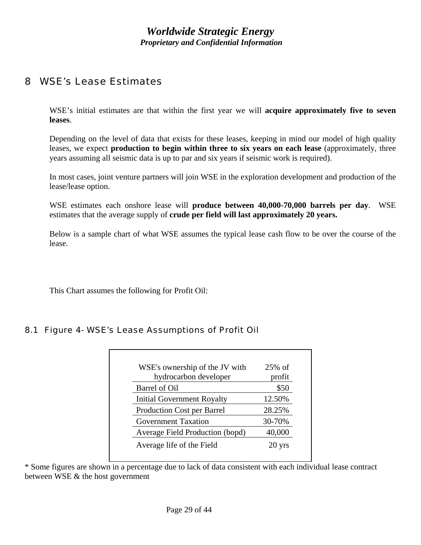## <span id="page-28-0"></span>8 WSE's Lease Estimates

WSE's initial estimates are that within the first year we will **acquire approximately five to seven leases**.

Depending on the level of data that exists for these leases, keeping in mind our model of high quality leases, we expect **production to begin within three to six years on each lease** (approximately, three years assuming all seismic data is up to par and six years if seismic work is required).

In most cases, joint venture partners will join WSE in the exploration development and production of the lease/lease option.

WSE estimates each onshore lease will **produce between 40,000-70,000 barrels per day**. WSE estimates that the average supply of **crude per field will last approximately 20 years.**

Below is a sample chart of what WSE assumes the typical lease cash flow to be over the course of the lease.

This Chart assumes the following for Profit Oil:

#### *8.1 Figure 4- WSE's Lease Assumptions of Profit Oil*

| WSE's ownership of the JV with    | $25%$ of         |
|-----------------------------------|------------------|
| hydrocarbon developer             | profit           |
| Barrel of Oil                     | \$50             |
| <b>Initial Government Royalty</b> | 12.50%           |
| <b>Production Cost per Barrel</b> | 28.25%           |
| <b>Government Taxation</b>        | 30-70%           |
| Average Field Production (bopd)   | 40,000           |
| Average life of the Field         | $20 \text{ yrs}$ |

\* Some figures are shown in a percentage due to lack of data consistent with each individual lease contract between WSE & the host government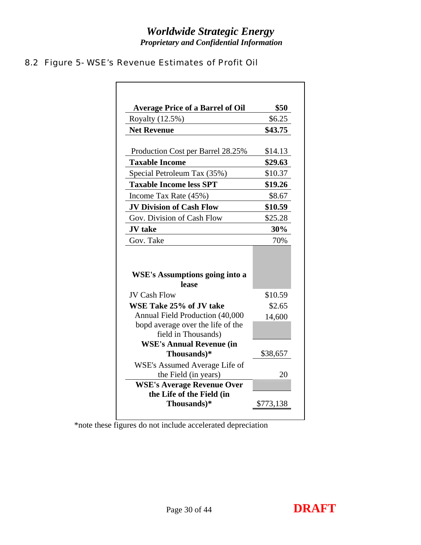# *Worldwide Strategic Energy*

 *Proprietary and Confidential Information* 

## <span id="page-29-0"></span>*8.2 Figure 5- WSE's Revenue Estimates of Profit Oil*

| Royalty (12.5%)<br><b>Net Revenue</b><br>Production Cost per Barrel 28.25%<br><b>Taxable Income</b><br>Special Petroleum Tax (35%) | \$6.25<br>\$14.13 |
|------------------------------------------------------------------------------------------------------------------------------------|-------------------|
|                                                                                                                                    | \$43.75           |
|                                                                                                                                    | \$29.63           |
|                                                                                                                                    |                   |
|                                                                                                                                    |                   |
|                                                                                                                                    | \$10.37           |
| <b>Taxable Income less SPT</b>                                                                                                     | \$19.26           |
| Income Tax Rate (45%)                                                                                                              | \$8.67            |
| <b>JV Division of Cash Flow</b>                                                                                                    | \$10.59           |
| Gov. Division of Cash Flow                                                                                                         | \$25.28           |
| <b>JV</b> take                                                                                                                     | 30%               |
| Gov. Take                                                                                                                          | 70%               |
| <b>WSE's Assumptions going into a</b><br>lease                                                                                     |                   |
| <b>JV Cash Flow</b>                                                                                                                | \$10.59           |
| WSE Take 25% of JV take                                                                                                            | \$2.65            |
| Annual Field Production (40,000                                                                                                    | 14,600            |
| bopd average over the life of the<br>field in Thousands)                                                                           |                   |
| <b>WSE's Annual Revenue (in</b>                                                                                                    |                   |
| Thousands)*                                                                                                                        | \$38,657          |
| WSE's Assumed Average Life of<br>the Field (in years)                                                                              | 20                |
| <b>WSE's Average Revenue Over</b>                                                                                                  |                   |
| the Life of the Field (in                                                                                                          |                   |

\*note these figures do not include accelerated depreciation

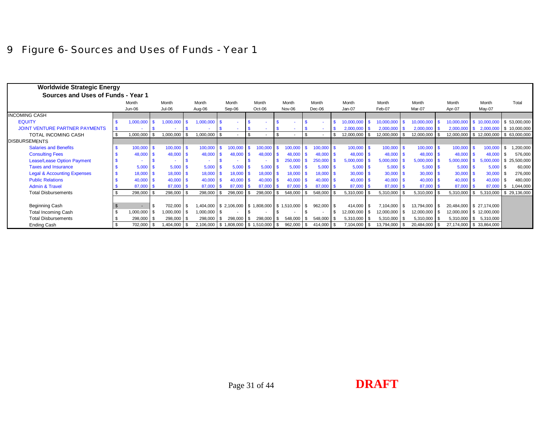## 9 Figure 6- Sources and Uses of Funds - Year 1

<span id="page-30-0"></span>

| <b>Worldwide Strategic Energy</b>      |  |               |      |              |     |                |  |         |              |                                                      |                |         |      |              |               |          |                |                |                           |                                 |                                        |
|----------------------------------------|--|---------------|------|--------------|-----|----------------|--|---------|--------------|------------------------------------------------------|----------------|---------|------|--------------|---------------|----------|----------------|----------------|---------------------------|---------------------------------|----------------------------------------|
| Sources and Uses of Funds - Year 1     |  |               |      |              |     |                |  |         |              |                                                      |                |         |      |              |               |          |                |                |                           |                                 |                                        |
|                                        |  | Month         |      | Month        |     | Month          |  | Month   |              | Month                                                |                | Month   |      | Month        | Month         |          | Month          | Month          | Month                     | Month                           | Total                                  |
|                                        |  | Jun-06        |      | $Jul-06$     |     | Aug-06         |  | Sep-06  |              | Oct-06                                               |                | Nov-06  |      | $Dec-06$     | Jan-07        |          | Feb-07         | Mar-07         | Apr-07                    | May-07                          |                                        |
| <b>INCOMING CASH</b>                   |  |               |      |              |     |                |  |         |              |                                                      |                |         |      |              |               |          |                |                |                           |                                 |                                        |
| <b>EQUITY</b>                          |  | 1,000,000     | . ድ  | 1,000,000    |     | $1,000,000$ \$ |  |         |              |                                                      |                |         |      |              | 10,000,000    |          | 10,000,000     | 10,000,000     | 10,000,000 \$ 10,000,000  |                                 | $\frac{1}{5}$ 53,000,000               |
| JOINT VENTURE PARTNER PAYMENTS         |  |               |      |              |     |                |  |         |              |                                                      |                |         |      |              | 2,000,000     |          | $2,000,000$ \$ | 2,000,000      | $2,000,000$ \$            | 2,000,000                       | $\frac{1}{5}$ 10,000,000               |
| TOTAL INCOMING CASH                    |  | 1,000,000     | \$   | 1,000,000    |     | 1,000,000 \$   |  |         | $\mathbf{s}$ |                                                      | $\mathfrak{F}$ |         |      |              | 12,000,000    |          | 12,000,000     | 12,000,000     |                           |                                 | 12,000,000 \$ 12,000,000 \$ 63,000,000 |
| <b>DISBURSEMENTS</b>                   |  |               |      |              |     |                |  |         |              |                                                      |                |         |      |              |               |          |                |                |                           |                                 |                                        |
| <b>Salaries and Benefits</b>           |  | $100,000$ \$  |      | 100,000      |     | $100,000$ \$   |  | 100,000 |              | 100,000                                              |                | 100.000 |      | $100,000$ \$ | 100,000       | - \$     | $100,000$ \$   | 100,000 \$     | $100,000$ \$              | 100,000                         | ,200,000                               |
| <b>Consulting Fees</b>                 |  | 48,000        | - \$ | 48,000       |     | 48,000 \$      |  | 48.000  | . ድ          | 48,000                                               |                | 48,000  | - \$ | 48,000       | 48,000        |          | 48,000 \$      | 48,000         | 48,000                    | 48,000                          | 576,000<br>$\overline{1}$ s            |
| <b>Lease/Lease Option Payment</b>      |  |               |      |              |     |                |  |         |              |                                                      |                | 250,000 |      | 250,000      | 5,000,000     |          | $5,000,000$ \$ | 5,000,000      | 5,000,000                 | 5.000.000                       | $\frac{1}{2}$ \$ 25,500,000            |
| <b>Taxes and Insurance</b>             |  | 5,000         | . ድ  | 5,000        |     | $5,000$ \$     |  | 5.000   |              | 5,000                                                |                | 5.000   |      | 5,000        | 5,000         | - \$     | $5,000$ \$     | 5,000          | 5,000                     | $5,000$ \$                      | 60,000                                 |
| <b>Legal &amp; Accounting Expenses</b> |  | $18,000$ \$   |      | $18,000$ \$  |     | $18,000$ \$    |  | 18,000  | - \$         | $18,000$ \$                                          |                | 18,000  | ∣S.  | 18,000       | $30,000$ \$   |          | $30,000$ \$    | 30,000         | $30,000$ \$               | $30,000$ \$                     | 276,000                                |
| <b>Public Relations</b>                |  | $40,000$ \ \$ |      | 40,000       |     | $40,000$ \ \$  |  | 40.000  | -\$          | $40.000$ S                                           |                | 40.000  |      | 40.000       | 40,000        |          | $40.000$ \$    | 40,000         | $40,000$ \$               | $40,000$ \$                     | 480,000                                |
| <b>Admin &amp; Travel</b>              |  | $87,000$ \$   |      | 87,000       |     | 87,000 \$      |  | 87,000  | - \$         | 87,000                                               |                | 87,000  | - \$ | 87,000       | 87,000        |          | 87,000 \$      | 87,000         | $87,000$ \ \$             | 87,000                          | ) S<br>1,044,000                       |
| <b>Total Disbursements</b>             |  | 298,000 \$    |      | 298,000      |     | $298,000$ \$   |  | 298,000 | -S           | 298,000                                              | - \$           | 548,000 |      | 548,000      | 5,310,000     |          | 5,310,000 \$   | 5,310,000      | $5,310,000$ \$            |                                 | 5,310,000 \$ 29,136,000                |
|                                        |  |               |      |              |     |                |  |         |              |                                                      |                |         |      |              |               |          |                |                |                           |                                 |                                        |
| Beginning Cash                         |  |               |      | 702,000 \$   |     |                |  |         |              | 404,000   \$ 2,106,000   \$ 1,808,000   \$ 1,510,000 |                |         | l \$ | 962,000 \$   | 414,000       | <b>S</b> | 7,104,000 \$   | 13,794,000 \$  | 20,484,000   \$27,174,000 |                                 |                                        |
| <b>Total Incoming Cash</b>             |  | 1,000,000 \$  |      | 1,000,000 \$ |     | 1,000,000 \$   |  |         |              |                                                      |                |         |      |              | 12,000,000 \$ |          | 12,000,000 \$  | 12,000,000 \$  |                           | 12,000,000   \$ 12,000,000      |                                        |
| <b>Total Disbursements</b>             |  | $298,000$ \$  |      | 298,000      | l S | 298,000 \$     |  | 298,000 | \$           | $298,000$ \ \$                                       |                | 548,000 | l Si | 548,000 \$   | 5,310,000     | - \$     | $5,310,000$ \$ | $5,310,000$ \$ |                           | $5,310,000$ $\mid$ \$ 5,310,000 |                                        |
| Ending Cash                            |  | 702,000 \$    |      | 1,404,000 \$ |     |                |  |         |              | 2,106,000   \$1,808,000   \$1,510,000   \$           |                | 962,000 | - \$ | $414,000$ \$ | 7,104,000     | l \$     | 13,794,000 \$  | 20,484,000 \$  | 27,174,000 \$ 33,864,000  |                                 |                                        |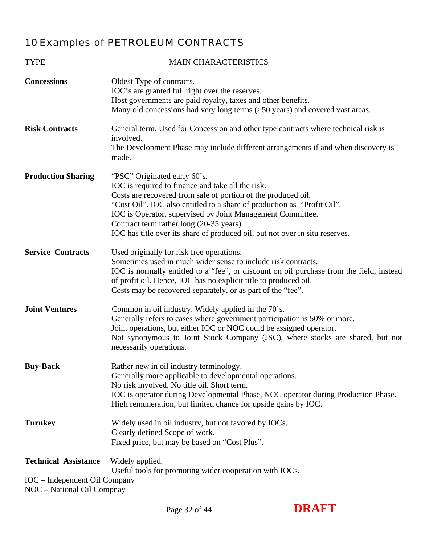## <span id="page-31-0"></span>10 Examples of PETROLEUM CONTRACTS

| <b>TYPE</b>                                                                                | <b>MAIN CHARACTERISTICS</b>                                                                                                                                                                                                                                                                                                                                                                                             |
|--------------------------------------------------------------------------------------------|-------------------------------------------------------------------------------------------------------------------------------------------------------------------------------------------------------------------------------------------------------------------------------------------------------------------------------------------------------------------------------------------------------------------------|
| <b>Concessions</b>                                                                         | Oldest Type of contracts.<br>IOC's are granted full right over the reserves.<br>Host governments are paid royalty, taxes and other benefits.<br>Many old concessions had very long terms (>50 years) and covered vast areas.                                                                                                                                                                                            |
| <b>Risk Contracts</b>                                                                      | General term. Used for Concession and other type contracts where technical risk is<br>involved.<br>The Development Phase may include different arrangements if and when discovery is<br>made.                                                                                                                                                                                                                           |
| <b>Production Sharing</b>                                                                  | "PSC" Originated early 60's.<br>IOC is required to finance and take all the risk.<br>Costs are recovered from sale of portion of the produced oil.<br>"Cost Oil". IOC also entitled to a share of production as "Profit Oil".<br>IOC is Operator, supervised by Joint Management Committee.<br>Contract term rather long (20-35 years).<br>IOC has title over its share of produced oil, but not over in situ reserves. |
| <b>Service Contracts</b>                                                                   | Used originally for risk free operations.<br>Sometimes used in much wider sense to include risk contracts.<br>IOC is normally entitled to a "fee", or discount on oil purchase from the field, instead<br>of profit oil. Hence, IOC has no explicit title to produced oil.<br>Costs may be recovered separately, or as part of the "fee".                                                                               |
| <b>Joint Ventures</b>                                                                      | Common in oil industry. Widely applied in the 70's.<br>Generally refers to cases where government participation is 50% or more.<br>Joint operations, but either IOC or NOC could be assigned operator.<br>Not synonymous to Joint Stock Company (JSC), where stocks are shared, but not<br>necessarily operations.                                                                                                      |
| <b>Buy-Back</b>                                                                            | Rather new in oil industry terminology.<br>Generally more applicable to developmental operations.<br>No risk involved. No title oil. Short term.<br>IOC is operator during Developmental Phase, NOC operator during Production Phase.<br>High remuneration, but limited chance for upside gains by IOC.                                                                                                                 |
| <b>Turnkey</b>                                                                             | Widely used in oil industry, but not favored by IOCs.<br>Clearly defined Scope of work.<br>Fixed price, but may be based on "Cost Plus".                                                                                                                                                                                                                                                                                |
| <b>Technical Assistance</b><br>IOC – Independent Oil Company<br>NOC - National Oil Compnay | Widely applied.<br>Useful tools for promoting wider cooperation with IOCs.                                                                                                                                                                                                                                                                                                                                              |

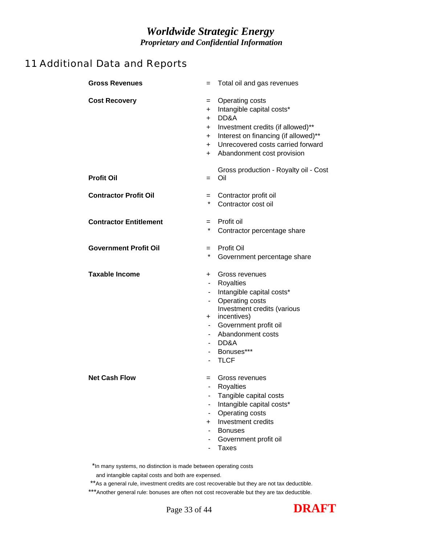## <span id="page-32-0"></span>11 Additional Data and Reports

| <b>Gross Revenues</b>         | $=$                                                                                                                         | Total oil and gas revenues                                                                                                                                                                                     |
|-------------------------------|-----------------------------------------------------------------------------------------------------------------------------|----------------------------------------------------------------------------------------------------------------------------------------------------------------------------------------------------------------|
| <b>Cost Recovery</b>          | $=$<br>$+$<br>$+$<br>$+$<br>$+$<br>$+$<br>$+$                                                                               | Operating costs<br>Intangible capital costs*<br>DD&A<br>Investment credits (if allowed)**<br>Interest on financing (if allowed)**<br>Unrecovered costs carried forward<br>Abandonment cost provision           |
| <b>Profit Oil</b>             | $=$                                                                                                                         | Gross production - Royalty oil - Cost<br>Oil                                                                                                                                                                   |
| <b>Contractor Profit Oil</b>  | $=$<br>*                                                                                                                    | Contractor profit oil<br>Contractor cost oil                                                                                                                                                                   |
| <b>Contractor Entitlement</b> | $=$<br>*                                                                                                                    | Profit oil<br>Contractor percentage share                                                                                                                                                                      |
| <b>Government Profit Oil</b>  | $=$<br>*                                                                                                                    | Profit Oil<br>Government percentage share                                                                                                                                                                      |
| <b>Taxable Income</b>         | $+$<br>$\blacksquare$<br>$\overline{\phantom{a}}$<br>$\blacksquare$<br>$\overline{\phantom{0}}$<br>$\overline{\phantom{0}}$ | Gross revenues<br>Royalties<br>Intangible capital costs*<br>Operating costs<br>Investment credits (various<br>+ incentives)<br>Government profit oil<br>Abandonment costs<br>DD&A<br>Bonuses***<br><b>TLCF</b> |
| <b>Net Cash Flow</b>          | $=$<br>$+$                                                                                                                  | Gross revenues<br>Royalties<br>Tangible capital costs<br>Intangible capital costs*<br>Operating costs<br>Investment credits<br><b>Bonuses</b><br>Government profit oil<br><b>Taxes</b>                         |

\*In many systems, no distinction is made between operating costs

\*\*As a general rule, investment credits are cost recoverable but they are not tax deductible.

\*\*\*Another general rule: bonuses are often not cost recoverable but they are tax deductible.



and intangible capital costs and both are expensed.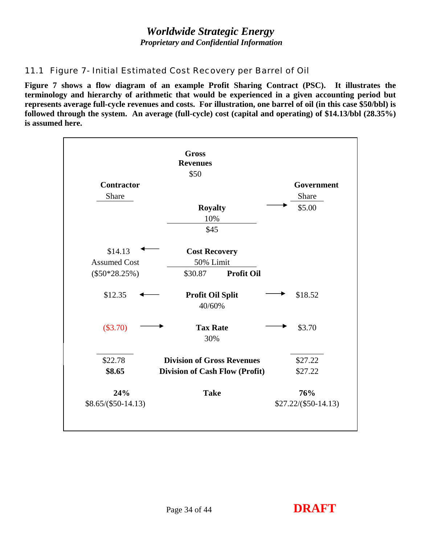# *Worldwide Strategic Energy*

 *Proprietary and Confidential Information* 

## <span id="page-33-0"></span>*11.1 Figure 7- Initial Estimated Cost Recovery per Barrel of Oil*

**Figure 7 shows a flow diagram of an example Profit Sharing Contract (PSC). It illustrates the terminology and hierarchy of arithmetic that would be experienced in a given accounting period but represents average full-cycle revenues and costs. For illustration, one barrel of oil (in this case \$50/bbl) is followed through the system. An average (full-cycle) cost (capital and operating) of \$14.13/bbl (28.35%) is assumed here.** 

|                     | <b>Gross</b>                          |                      |
|---------------------|---------------------------------------|----------------------|
|                     | <b>Revenues</b>                       |                      |
|                     | \$50                                  |                      |
| <b>Contractor</b>   |                                       | Government           |
| Share               |                                       | Share                |
|                     | <b>Royalty</b>                        | \$5.00               |
|                     | 10%                                   |                      |
|                     | \$45                                  |                      |
| \$14.13             | <b>Cost Recovery</b>                  |                      |
| <b>Assumed Cost</b> | 50% Limit                             |                      |
| $(\$50*28.25\%)$    | <b>Profit Oil</b><br>\$30.87          |                      |
| \$12.35             | Profit Oil Split<br>40/60%            | \$18.52              |
| (\$3.70)            | <b>Tax Rate</b><br>30%                | \$3.70               |
| \$22.78             | <b>Division of Gross Revenues</b>     | \$27.22              |
| \$8.65              | <b>Division of Cash Flow (Profit)</b> | \$27.22              |
| 24%                 | <b>Take</b>                           | 76%                  |
| $$8.65/($50-14.13)$ |                                       | $$27.22/($50-14.13)$ |

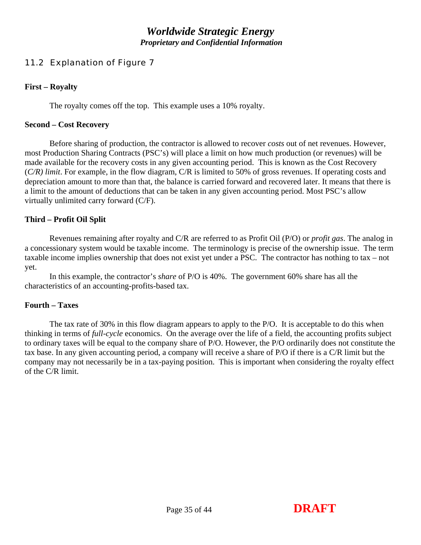## <span id="page-34-0"></span>*11.2 Explanation of Figure 7*

#### **First – Royalty**

The royalty comes off the top. This example uses a 10% royalty.

#### **Second – Cost Recovery**

 Before sharing of production, the contractor is allowed to recover *costs* out of net revenues. However, most Production Sharing Contracts (PSC's) will place a limit on how much production (or revenues) will be made available for the recovery costs in any given accounting period. This is known as the Cost Recovery (*C/R) limit*. For example, in the flow diagram, C/R is limited to 50% of gross revenues. If operating costs and depreciation amount to more than that, the balance is carried forward and recovered later. It means that there is a limit to the amount of deductions that can be taken in any given accounting period. Most PSC's allow virtually unlimited carry forward (C/F).

#### **Third – Profit Oil Split**

 Revenues remaining after royalty and C/R are referred to as Profit Oil (P/O) or *profit gas*. The analog in a concessionary system would be taxable income. The terminology is precise of the ownership issue. The term taxable income implies ownership that does not exist yet under a PSC. The contractor has nothing to tax – not yet.

 In this example, the contractor's *share* of P/O is 40%. The government 60% share has all the characteristics of an accounting-profits-based tax.

#### **Fourth – Taxes**

 The tax rate of 30% in this flow diagram appears to apply to the P/O. It is acceptable to do this when thinking in terms of *full-cycle* economics. On the average over the life of a field, the accounting profits subject to ordinary taxes will be equal to the company share of P/O. However, the P/O ordinarily does not constitute the tax base. In any given accounting period, a company will receive a share of P/O if there is a C/R limit but the company may not necessarily be in a tax-paying position. This is important when considering the royalty effect of the C/R limit.

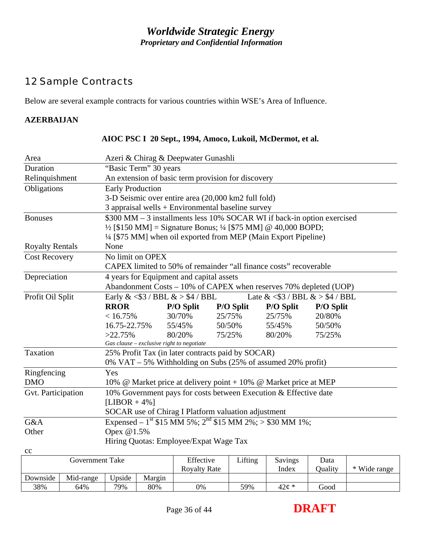## <span id="page-35-0"></span>12 Sample Contracts

Below are several example contracts for various countries within WSE's Area of Influence.

#### **AZERBAIJAN**

| Area                                                                                      | Azeri & Chirag & Deepwater Gunashli                                                |                  |           |                                            |                  |  |  |  |  |  |  |  |
|-------------------------------------------------------------------------------------------|------------------------------------------------------------------------------------|------------------|-----------|--------------------------------------------|------------------|--|--|--|--|--|--|--|
| Duration                                                                                  | "Basic Term" 30 years                                                              |                  |           |                                            |                  |  |  |  |  |  |  |  |
| Relinquishment                                                                            | An extension of basic term provision for discovery                                 |                  |           |                                            |                  |  |  |  |  |  |  |  |
| Obligations                                                                               | <b>Early Production</b>                                                            |                  |           |                                            |                  |  |  |  |  |  |  |  |
|                                                                                           | 3-D Seismic over entire area (20,000 km2 full fold)                                |                  |           |                                            |                  |  |  |  |  |  |  |  |
|                                                                                           | 3 appraisal wells $+$ Environmental baseline survey                                |                  |           |                                            |                  |  |  |  |  |  |  |  |
| \$300 MM - 3 installments less 10% SOCAR WI if back-in option exercised<br><b>Bonuses</b> |                                                                                    |                  |           |                                            |                  |  |  |  |  |  |  |  |
|                                                                                           | $\frac{1}{2}$ [\$150 MM] = Signature Bonus; $\frac{1}{4}$ [\$75 MM] @ 40,000 BOPD; |                  |           |                                            |                  |  |  |  |  |  |  |  |
|                                                                                           | 1/4 [\$75 MM] when oil exported from MEP (Main Export Pipeline)                    |                  |           |                                            |                  |  |  |  |  |  |  |  |
| <b>Royalty Rentals</b>                                                                    | None                                                                               |                  |           |                                            |                  |  |  |  |  |  |  |  |
| <b>Cost Recovery</b>                                                                      | No limit on OPEX                                                                   |                  |           |                                            |                  |  |  |  |  |  |  |  |
|                                                                                           | CAPEX limited to 50% of remainder "all finance costs" recoverable                  |                  |           |                                            |                  |  |  |  |  |  |  |  |
| Depreciation                                                                              | 4 years for Equipment and capital assets                                           |                  |           |                                            |                  |  |  |  |  |  |  |  |
|                                                                                           | Abandonment Costs - 10% of CAPEX when reserves 70% depleted (UOP)                  |                  |           |                                            |                  |  |  |  |  |  |  |  |
| Profit Oil Split                                                                          | Early $\&$ <\$3 / BBL $\&$ > \$4 / BBL                                             |                  |           | Late & $\langle$ \$3 / BBL & $>$ \$4 / BBL |                  |  |  |  |  |  |  |  |
|                                                                                           | <b>RROR</b>                                                                        | <b>P/O Split</b> | P/O Split | <b>P/O Split</b>                           | <b>P/O Split</b> |  |  |  |  |  |  |  |
|                                                                                           | < 16.75%                                                                           | 30/70%           | 25/75%    | 25/75%                                     | 20/80%           |  |  |  |  |  |  |  |
|                                                                                           | 16.75-22.75%                                                                       | 55/45%           | 50/50%    | 55/45%                                     | 50/50%           |  |  |  |  |  |  |  |
|                                                                                           | $>22.75\%$                                                                         | 80/20%           | 75/25%    | 80/20%                                     | 75/25%           |  |  |  |  |  |  |  |
|                                                                                           | Gas clause - exclusive right to negotiate                                          |                  |           |                                            |                  |  |  |  |  |  |  |  |
| Taxation                                                                                  | 25% Profit Tax (in later contracts paid by SOCAR)                                  |                  |           |                                            |                  |  |  |  |  |  |  |  |
|                                                                                           | $0\%$ VAT – 5% Withholding on Subs (25% of assumed 20% profit)                     |                  |           |                                            |                  |  |  |  |  |  |  |  |
| Ringfencing                                                                               | Yes                                                                                |                  |           |                                            |                  |  |  |  |  |  |  |  |
| <b>DMO</b>                                                                                | 10% @ Market price at delivery point + 10% @ Market price at MEP                   |                  |           |                                            |                  |  |  |  |  |  |  |  |
| Gvt. Participation                                                                        | 10% Government pays for costs between Execution & Effective date                   |                  |           |                                            |                  |  |  |  |  |  |  |  |
|                                                                                           | [LIBOR + $4\%$ ]                                                                   |                  |           |                                            |                  |  |  |  |  |  |  |  |
|                                                                                           | SOCAR use of Chirag I Platform valuation adjustment                                |                  |           |                                            |                  |  |  |  |  |  |  |  |
| G&A                                                                                       | Expensed – 1 <sup>st</sup> \$15 MM 5%; 2 <sup>nd</sup> \$15 MM 2%; > \$30 MM 1%;   |                  |           |                                            |                  |  |  |  |  |  |  |  |
| Other                                                                                     | Opex @1.5%                                                                         |                  |           |                                            |                  |  |  |  |  |  |  |  |
|                                                                                           | Hiring Quotas: Employee/Expat Wage Tax                                             |                  |           |                                            |                  |  |  |  |  |  |  |  |
| cc                                                                                        |                                                                                    |                  |           |                                            |                  |  |  |  |  |  |  |  |
| <b>Government Take</b>                                                                    |                                                                                    | Effective        | Lifting   | Savings                                    | Data             |  |  |  |  |  |  |  |

#### **AIOC PSC I 20 Sept., 1994, Amoco, Lukoil, McDermot, et al.**

|          | Government Take |        |        | Effective<br><b>Royalty Rate</b> | Lifting | Savings<br>Index  | Data<br>)uality | * Wide range |
|----------|-----------------|--------|--------|----------------------------------|---------|-------------------|-----------------|--------------|
| Downside | Mid-range       | Upside | Margin |                                  |         |                   |                 |              |
| 38%      | 64%             | 79%    | 80%    | 0%                               | 59%     | $42\mathcal{C}$ * | Good            |              |

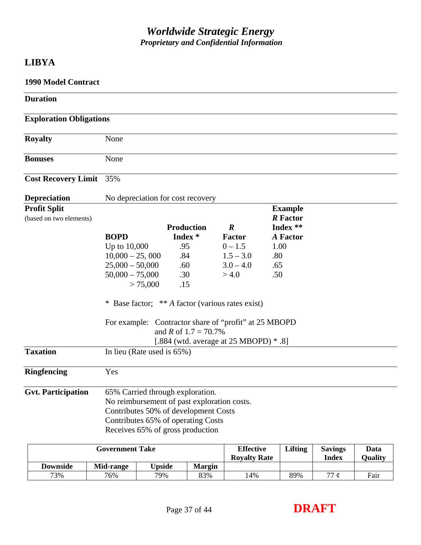## **LIBYA**

| <b>1990 Model Contract</b>                     |                                                       |                                                   |                                  |      |                                               |                         |                        |
|------------------------------------------------|-------------------------------------------------------|---------------------------------------------------|----------------------------------|------|-----------------------------------------------|-------------------------|------------------------|
| <b>Duration</b>                                |                                                       |                                                   |                                  |      |                                               |                         |                        |
| <b>Exploration Obligations</b>                 |                                                       |                                                   |                                  |      |                                               |                         |                        |
| <b>Royalty</b>                                 | None                                                  |                                                   |                                  |      |                                               |                         |                        |
| <b>Bonuses</b>                                 | None                                                  |                                                   |                                  |      |                                               |                         |                        |
| <b>Cost Recovery Limit</b>                     | 35%                                                   |                                                   |                                  |      |                                               |                         |                        |
| <b>Depreciation</b>                            | No depreciation for cost recovery                     |                                                   |                                  |      |                                               |                         |                        |
| <b>Profit Split</b><br>(based on two elements) |                                                       | <b>Production</b>                                 | $\boldsymbol{R}$                 |      | <b>Example</b><br><b>R</b> Factor<br>Index ** |                         |                        |
|                                                | <b>BOPD</b>                                           | Index <sup>*</sup>                                | Factor                           |      | <b>A</b> Factor                               |                         |                        |
|                                                | Up to 10,000                                          | .95                                               | $0 - 1.5$                        | 1.00 |                                               |                         |                        |
|                                                | $10,000 - 25,000$                                     | .84                                               | $1.5 - 3.0$                      | .80  |                                               |                         |                        |
|                                                | $25,000 - 50,000$                                     | .60                                               | $3.0 - 4.0$                      | .65  |                                               |                         |                        |
|                                                | $50,000 - 75,000$<br>> 75,000                         | .30<br>.15                                        | > 4.0                            | .50  |                                               |                         |                        |
|                                                | * Base factor; ** A factor (various rates exist)      |                                                   |                                  |      |                                               |                         |                        |
|                                                | For example: Contractor share of "profit" at 25 MBOPD | and R of $1.7 = 70.7\%$                           |                                  |      |                                               |                         |                        |
|                                                |                                                       | [.884 (wtd. average at $25 \text{ MBOPD}$ ) * .8] |                                  |      |                                               |                         |                        |
| <b>Taxation</b>                                | In lieu (Rate used is $65\%$ )                        |                                                   |                                  |      |                                               |                         |                        |
| <b>Ringfencing</b>                             | Yes                                                   |                                                   |                                  |      |                                               |                         |                        |
| <b>Gvt. Participation</b>                      | 65% Carried through exploration.                      |                                                   |                                  |      |                                               |                         |                        |
|                                                | No reimbursement of past exploration costs.           |                                                   |                                  |      |                                               |                         |                        |
|                                                | Contributes 50% of development Costs                  |                                                   |                                  |      |                                               |                         |                        |
|                                                | Contributes 65% of operating Costs                    |                                                   |                                  |      |                                               |                         |                        |
|                                                | Receives 65% of gross production                      |                                                   |                                  |      |                                               |                         |                        |
|                                                | <b>Government Take</b>                                |                                                   | <b>Effective</b><br>Rovalty Rate |      | <b>Lifting</b>                                | <b>Savings</b><br>Indov | Data<br><b>Ouglity</b> |

| Ovverminent rune |           |                 |        | <b>LILLELIE</b><br><b>Rovalty Rate</b> | $\mu$ <sup>111</sup> | 541165<br><b>Index</b> | vaca<br><b>Ouality</b> |
|------------------|-----------|-----------------|--------|----------------------------------------|----------------------|------------------------|------------------------|
| <b>Downside</b>  | Mid-range | <b>V</b> Jpside | Margin |                                        |                      |                        |                        |
| 73%              | 76%       | 79%             | 83%    | .4%                                    | 89%                  | 77c                    | Fair                   |
|                  |           |                 |        |                                        |                      |                        |                        |

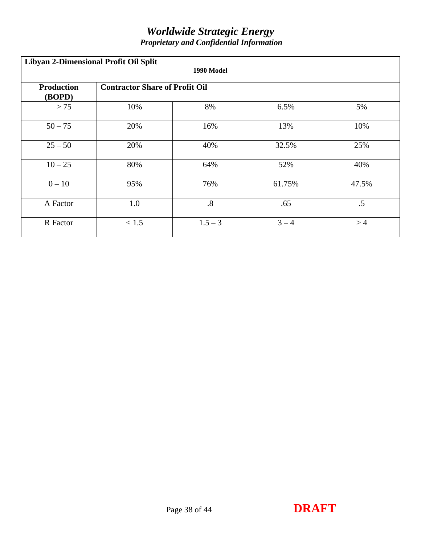| Libyan 2-Dimensional Profit Oil Split<br>1990 Model |                                       |                   |         |        |  |  |  |  |  |
|-----------------------------------------------------|---------------------------------------|-------------------|---------|--------|--|--|--|--|--|
| <b>Production</b><br>(BOPD)                         | <b>Contractor Share of Profit Oil</b> |                   |         |        |  |  |  |  |  |
| > 75                                                | 10%                                   | 8%                | 6.5%    | 5%     |  |  |  |  |  |
| $50 - 75$                                           | 20%                                   | 16%               | 13%     | 10%    |  |  |  |  |  |
| $25 - 50$                                           | 20%                                   | 40%               | 32.5%   | 25%    |  |  |  |  |  |
| $10 - 25$                                           | 80%                                   | 64%               | 52%     | 40%    |  |  |  |  |  |
| $0 - 10$                                            | 95%                                   | 76%               | 61.75%  | 47.5%  |  |  |  |  |  |
| A Factor                                            | 1.0                                   | $\boldsymbol{.8}$ | .65     | $.5\,$ |  |  |  |  |  |
| R Factor                                            | < 1.5                                 | $1.5 - 3$         | $3 - 4$ | >4     |  |  |  |  |  |

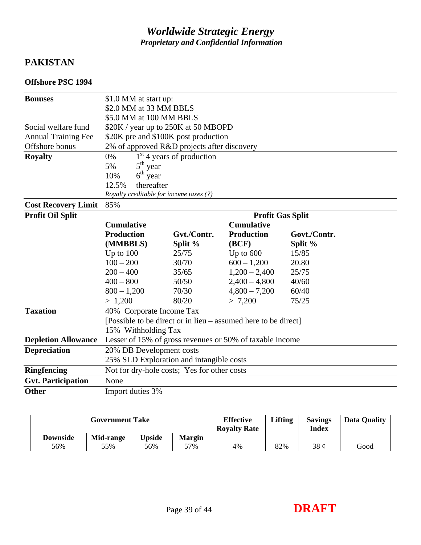## **PAKISTAN**

#### **Offshore PSC 1994**

| <b>Bonuses</b>             | \$1.0 MM at start up:                                    |                             |                                                                |              |  |  |  |  |  |
|----------------------------|----------------------------------------------------------|-----------------------------|----------------------------------------------------------------|--------------|--|--|--|--|--|
|                            | \$2.0 MM at 33 MM BBLS                                   |                             |                                                                |              |  |  |  |  |  |
|                            | \$5.0 MM at 100 MM BBLS                                  |                             |                                                                |              |  |  |  |  |  |
| Social welfare fund        | \$20K / year up to 250K at 50 MBOPD                      |                             |                                                                |              |  |  |  |  |  |
| <b>Annual Training Fee</b> | \$20K pre and \$100K post production                     |                             |                                                                |              |  |  |  |  |  |
| Offshore bonus             | 2% of approved R&D projects after discovery              |                             |                                                                |              |  |  |  |  |  |
| <b>Royalty</b>             | 0%                                                       | $1st$ 4 years of production |                                                                |              |  |  |  |  |  |
|                            | $5th$ year<br>5%                                         |                             |                                                                |              |  |  |  |  |  |
|                            | $6th$ year<br>10%                                        |                             |                                                                |              |  |  |  |  |  |
|                            | thereafter<br>12.5%                                      |                             |                                                                |              |  |  |  |  |  |
|                            | Royalty creditable for income taxes (?)                  |                             |                                                                |              |  |  |  |  |  |
| <b>Cost Recovery Limit</b> | 85%                                                      |                             |                                                                |              |  |  |  |  |  |
| Profit Oil Split           | <b>Profit Gas Split</b>                                  |                             |                                                                |              |  |  |  |  |  |
|                            | <b>Cumulative</b>                                        |                             | <b>Cumulative</b>                                              |              |  |  |  |  |  |
|                            | <b>Production</b>                                        | Gvt./Contr.                 | <b>Production</b>                                              | Govt./Contr. |  |  |  |  |  |
|                            | (MMBBLS)                                                 | Split %                     | (BCF)                                                          | Split %      |  |  |  |  |  |
|                            | Up to $100$                                              | 25/75                       | Up to $600$                                                    | 15/85        |  |  |  |  |  |
|                            | $100 - 200$                                              | 30/70                       | $600 - 1,200$                                                  | 20.80        |  |  |  |  |  |
|                            | $200 - 400$                                              | 35/65                       | $1,200 - 2,400$                                                | 25/75        |  |  |  |  |  |
|                            | $400 - 800$                                              | 50/50                       | $2,400 - 4,800$                                                | 40/60        |  |  |  |  |  |
|                            | $800 - 1,200$                                            | 70/30                       | $4,800 - 7,200$                                                | 60/40        |  |  |  |  |  |
|                            | > 1,200                                                  | 80/20                       | > 7,200                                                        | 75/25        |  |  |  |  |  |
| <b>Taxation</b>            | 40% Corporate Income Tax                                 |                             |                                                                |              |  |  |  |  |  |
|                            |                                                          |                             | [Possible to be direct or in lieu – assumed here to be direct] |              |  |  |  |  |  |
|                            | 15% Withholding Tax                                      |                             |                                                                |              |  |  |  |  |  |
| <b>Depletion Allowance</b> | Lesser of 15% of gross revenues or 50% of taxable income |                             |                                                                |              |  |  |  |  |  |
| <b>Depreciation</b>        |                                                          | 20% DB Development costs    |                                                                |              |  |  |  |  |  |
|                            | 25% SLD Exploration and intangible costs                 |                             |                                                                |              |  |  |  |  |  |
| <b>Ringfencing</b>         | Not for dry-hole costs; Yes for other costs              |                             |                                                                |              |  |  |  |  |  |
| <b>Gvt. Participation</b>  | None                                                     |                             |                                                                |              |  |  |  |  |  |
| <b>Other</b>               | Import duties 3%                                         |                             |                                                                |              |  |  |  |  |  |

| <b>Government Take</b> |           |                |               | <b>Effective</b><br><b>Rovalty Rate</b> | Lifting | <b>Savings</b><br>Index | <b>Data Quality</b> |
|------------------------|-----------|----------------|---------------|-----------------------------------------|---------|-------------------------|---------------------|
| <b>Downside</b>        | Mid-range | <b>I</b> pside | <b>Margin</b> |                                         |         |                         |                     |
| 56%                    | 55%       | 56%            | 57%           | 4%                                      | 82%     | $38 \phi$               | Good                |

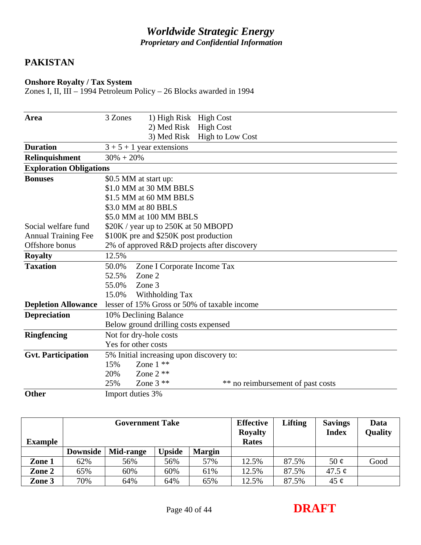## **PAKISTAN**

#### **Onshore Royalty / Tax System**

Zones I, II, III – 1994 Petroleum Policy – 26 Blocks awarded in 1994

| Area                           | 3 Zones                | 1) High Risk                             | <b>High Cost</b>                             |                                   |
|--------------------------------|------------------------|------------------------------------------|----------------------------------------------|-----------------------------------|
|                                |                        | 2) Med Risk                              | <b>High Cost</b>                             |                                   |
|                                |                        | 3) Med Risk                              | <b>High to Low Cost</b>                      |                                   |
| <b>Duration</b>                |                        | $3 + 5 + 1$ year extensions              |                                              |                                   |
| Relinquishment                 | $30\% + 20\%$          |                                          |                                              |                                   |
| <b>Exploration Obligations</b> |                        |                                          |                                              |                                   |
| <b>Bonuses</b>                 | \$0.5 MM at start up:  |                                          |                                              |                                   |
|                                |                        | \$1.0 MM at 30 MM BBLS                   |                                              |                                   |
|                                |                        | \$1.5 MM at 60 MM BBLS                   |                                              |                                   |
|                                | \$3.0 MM at 80 BBLS    |                                          |                                              |                                   |
|                                |                        | \$5.0 MM at 100 MM BBLS                  |                                              |                                   |
| Social welfare fund            |                        | \$20K / year up to 250K at 50 MBOPD      |                                              |                                   |
| <b>Annual Training Fee</b>     |                        | \$100K pre and \$250K post production    |                                              |                                   |
| Offshore bonus                 |                        |                                          | 2% of approved R&D projects after discovery  |                                   |
| <b>Royalty</b>                 | 12.5%                  |                                          |                                              |                                   |
| <b>Taxation</b>                | 50.0%                  | Zone I Corporate Income Tax              |                                              |                                   |
|                                | 52.5%                  | Zone 2                                   |                                              |                                   |
|                                | 55.0%                  | Zone 3                                   |                                              |                                   |
|                                | 15.0%                  | Withholding Tax                          |                                              |                                   |
| <b>Depletion Allowance</b>     |                        |                                          | lesser of 15% Gross or 50% of taxable income |                                   |
| <b>Depreciation</b>            |                        | 10% Declining Balance                    |                                              |                                   |
|                                |                        | Below ground drilling costs expensed     |                                              |                                   |
| <b>Ringfencing</b>             | Not for dry-hole costs |                                          |                                              |                                   |
|                                | Yes for other costs    |                                          |                                              |                                   |
| <b>Gvt. Participation</b>      |                        | 5% Initial increasing upon discovery to: |                                              |                                   |
|                                | 15%                    | Zone $1$ **                              |                                              |                                   |
|                                | 20%                    | Zone $2$ **                              |                                              |                                   |
|                                | 25%                    | Zone $3$ **                              |                                              | ** no reimbursement of past costs |
| $\Delta I$                     | $T_{\text{max}} = 1.1$ |                                          |                                              |                                   |

**Other** Import duties 3%

| <b>Example</b> |                 | <b>Government Take</b> |               |               | <b>Effective</b><br><b>Royalty</b><br><b>Rates</b> | <b>Lifting</b> | <b>Savings</b><br><b>Index</b> | Data<br>Quality |
|----------------|-----------------|------------------------|---------------|---------------|----------------------------------------------------|----------------|--------------------------------|-----------------|
|                | <b>Downside</b> | Mid-range              | <b>Upside</b> | <b>Margin</b> |                                                    |                |                                |                 |
| Zone 1         | 62%             | 56%                    | 56%           | 57%           | 12.5%                                              | 87.5%          | 50 $\phi$                      | Good            |
| Zone 2         | 65%             | 60%                    | 60%           | 61%           | 12.5%                                              | 87.5%          | 47.5 $\phi$                    |                 |
| Zone 3         | 70%             | 64%                    | 64%           | 65%           | 12.5%                                              | 87.5%          | 45 $\mathfrak{C}$              |                 |

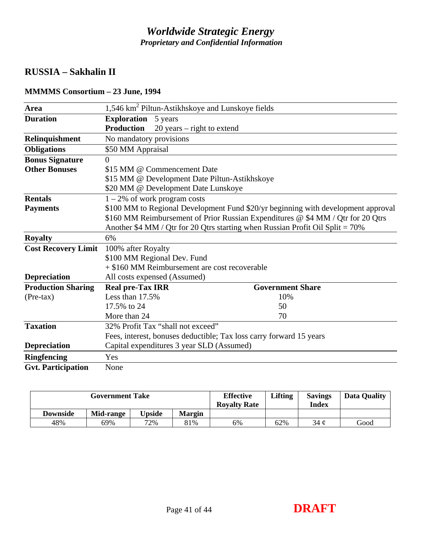## **RUSSIA – Sakhalin II**

| <b>Area</b>                |                                                                                 | 1,546 km <sup>2</sup> Piltun-Astikhskoye and Lunskoye fields |                                                                                   |  |  |  |  |
|----------------------------|---------------------------------------------------------------------------------|--------------------------------------------------------------|-----------------------------------------------------------------------------------|--|--|--|--|
| <b>Duration</b>            | <b>Exploration</b>                                                              | 5 years                                                      |                                                                                   |  |  |  |  |
|                            | <b>Production</b>                                                               | $20$ years – right to extend                                 |                                                                                   |  |  |  |  |
| Relinquishment             | No mandatory provisions                                                         |                                                              |                                                                                   |  |  |  |  |
| <b>Obligations</b>         | \$50 MM Appraisal                                                               |                                                              |                                                                                   |  |  |  |  |
| <b>Bonus Signature</b>     | 0                                                                               |                                                              |                                                                                   |  |  |  |  |
| <b>Other Bonuses</b>       |                                                                                 | \$15 MM @ Commencement Date                                  |                                                                                   |  |  |  |  |
|                            |                                                                                 | \$15 MM @ Development Date Piltun-Astikhskoye                |                                                                                   |  |  |  |  |
|                            |                                                                                 | \$20 MM @ Development Date Lunskoye                          |                                                                                   |  |  |  |  |
| <b>Rentals</b>             | $1 - 2\%$ of work program costs                                                 |                                                              |                                                                                   |  |  |  |  |
| <b>Payments</b>            |                                                                                 |                                                              | \$100 MM to Regional Development Fund \$20/yr beginning with development approval |  |  |  |  |
|                            | \$160 MM Reimbursement of Prior Russian Expenditures @ \$4 MM / Qtr for 20 Qtrs |                                                              |                                                                                   |  |  |  |  |
|                            |                                                                                 |                                                              | Another \$4 MM / Qtr for 20 Qtrs starting when Russian Profit Oil Split = $70\%$  |  |  |  |  |
| <b>Royalty</b>             | 6%                                                                              |                                                              |                                                                                   |  |  |  |  |
| <b>Cost Recovery Limit</b> | 100% after Royalty                                                              |                                                              |                                                                                   |  |  |  |  |
|                            |                                                                                 | \$100 MM Regional Dev. Fund                                  |                                                                                   |  |  |  |  |
|                            |                                                                                 | + \$160 MM Reimbursement are cost recoverable                |                                                                                   |  |  |  |  |
| <b>Depreciation</b>        |                                                                                 | All costs expensed (Assumed)                                 |                                                                                   |  |  |  |  |
| <b>Production Sharing</b>  | <b>Real pre-Tax IRR</b>                                                         |                                                              | <b>Government Share</b>                                                           |  |  |  |  |
| $(Pre-tax)$                | Less than $17.5%$                                                               |                                                              | 10%                                                                               |  |  |  |  |
|                            | 17.5% to 24                                                                     |                                                              | 50                                                                                |  |  |  |  |
|                            | More than 24                                                                    |                                                              | 70                                                                                |  |  |  |  |
| <b>Taxation</b>            |                                                                                 | 32% Profit Tax "shall not exceed"                            |                                                                                   |  |  |  |  |
|                            |                                                                                 |                                                              | Fees, interest, bonuses deductible; Tax loss carry forward 15 years               |  |  |  |  |
| <b>Depreciation</b>        |                                                                                 | Capital expenditures 3 year SLD (Assumed)                    |                                                                                   |  |  |  |  |
| <b>Ringfencing</b>         | Yes                                                                             |                                                              |                                                                                   |  |  |  |  |
| <b>Gvt. Participation</b>  | None                                                                            |                                                              |                                                                                   |  |  |  |  |

## **MMMMS Consortium – 23 June, 1994**

| <b>Government Take</b> |           |               |               | <b>Effective</b><br><b>Royalty Rate</b> | Lifting | <b>Savings</b><br>Index | <b>Data Quality</b> |
|------------------------|-----------|---------------|---------------|-----------------------------------------|---------|-------------------------|---------------------|
| <b>Downside</b>        | Mid-range | <b>Upside</b> | <b>Margin</b> |                                         |         |                         |                     |
| 48%                    | 69%       | 72%           | 81%           | 6%                                      | 62%     | 34 ¢                    | Good                |

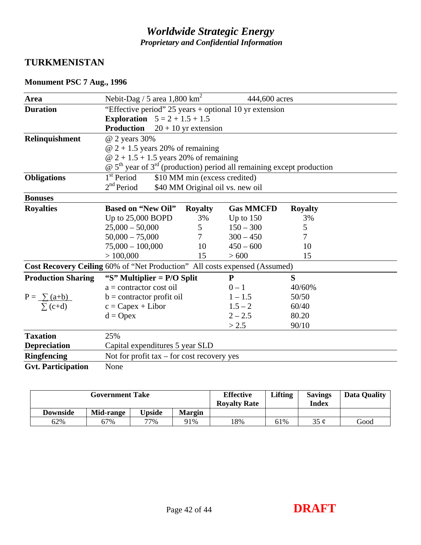## **TURKMENISTAN**

## **Monument PSC 7 Aug., 1996**

| Area                      | Nebit-Dag / 5 area $1,800 \text{ km}^2$                                                                 |                               | 444,600 acres                    |                |  |  |  |  |  |
|---------------------------|---------------------------------------------------------------------------------------------------------|-------------------------------|----------------------------------|----------------|--|--|--|--|--|
| <b>Duration</b>           | "Effective period" 25 years + optional 10 yr extension                                                  |                               |                                  |                |  |  |  |  |  |
|                           | <b>Exploration</b> $5 = 2 + 1.5 + 1.5$                                                                  |                               |                                  |                |  |  |  |  |  |
|                           | <b>Production</b>                                                                                       | $20 + 10$ yr extension        |                                  |                |  |  |  |  |  |
| Relinquishment            | @ 2 years 30%                                                                                           |                               |                                  |                |  |  |  |  |  |
|                           | $@ 2 + 1.5$ years 20% of remaining                                                                      |                               |                                  |                |  |  |  |  |  |
|                           | $\omega$ 2 + 1.5 + 1.5 years 20% of remaining                                                           |                               |                                  |                |  |  |  |  |  |
|                           | $\circledR$ 5 <sup>th</sup> year of 3 <sup>rd</sup> (production) period all remaining except production |                               |                                  |                |  |  |  |  |  |
| <b>Obligations</b>        | 1 <sup>st</sup> Period                                                                                  | \$10 MM min (excess credited) |                                  |                |  |  |  |  |  |
|                           | 2 <sup>nd</sup> Period                                                                                  |                               | \$40 MM Original oil vs. new oil |                |  |  |  |  |  |
| <b>Bonuses</b>            |                                                                                                         |                               |                                  |                |  |  |  |  |  |
| <b>Royalties</b>          | <b>Based on "New Oil"</b>                                                                               | <b>Royalty</b>                | <b>Gas MMCFD</b>                 | <b>Royalty</b> |  |  |  |  |  |
|                           | Up to 25,000 BOPD                                                                                       | 3%                            | Up to $150$                      | 3%             |  |  |  |  |  |
|                           | $25,000 - 50,000$                                                                                       | 5                             | $150 - 300$                      | 5              |  |  |  |  |  |
|                           | $50,000 - 75,000$                                                                                       | $\overline{7}$                | $300 - 450$                      | 7              |  |  |  |  |  |
|                           | $75,000 - 100,000$                                                                                      | 10                            | $450 - 600$                      | 10             |  |  |  |  |  |
|                           | >100,000                                                                                                | 15                            | > 600                            | 15             |  |  |  |  |  |
|                           | Cost Recovery Ceiling 60% of "Net Production" All costs expensed (Assumed)                              |                               |                                  |                |  |  |  |  |  |
| <b>Production Sharing</b> | "S" Multiplier = $P/O$ Split                                                                            |                               | ${\bf P}$                        | S              |  |  |  |  |  |
|                           | $a =$ contractor cost oil                                                                               |                               | $0 - 1$                          | 40/60%         |  |  |  |  |  |
| $P = \sum (a+b)$          | $b =$ contractor profit oil                                                                             |                               | $1 - 1.5$                        | 50/50          |  |  |  |  |  |
| $\sum$ (c+d)              | $c = Capex + Libor$                                                                                     |                               | $1.5 - 2$                        | 60/40          |  |  |  |  |  |
|                           | $d = \text{Opex}$                                                                                       |                               | $2 - 2.5$                        | 80.20          |  |  |  |  |  |
|                           |                                                                                                         |                               | > 2.5                            | 90/10          |  |  |  |  |  |
| <b>Taxation</b>           | 25%                                                                                                     |                               |                                  |                |  |  |  |  |  |
| <b>Depreciation</b>       | Capital expenditures 5 year SLD                                                                         |                               |                                  |                |  |  |  |  |  |
| <b>Ringfencing</b>        | Not for profit $tax - for cost recovery yes$                                                            |                               |                                  |                |  |  |  |  |  |
| <b>Gvt. Participation</b> | None                                                                                                    |                               |                                  |                |  |  |  |  |  |

| <b>Government Take</b> |           |               |               | <b>Effective</b><br><b>Royalty Rate</b> | <b>Lifting</b> | <b>Savings</b><br>Index | <b>Data Quality</b> |
|------------------------|-----------|---------------|---------------|-----------------------------------------|----------------|-------------------------|---------------------|
| <b>Downside</b>        | Mid-range | <b>Jpside</b> | <b>Margin</b> |                                         |                |                         |                     |
| 62%                    | 67%       | 77%           | 91%           | 18%                                     | 61%            | 35c                     | Good                |

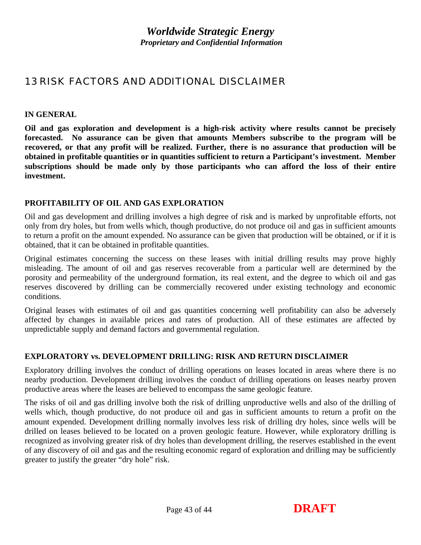## <span id="page-42-0"></span>13 RISK FACTORS AND ADDITIONAL DISCLAIMER

#### **IN GENERAL**

**Oil and gas exploration and development is a high-risk activity where results cannot be precisely forecasted. No assurance can be given that amounts Members subscribe to the program will be recovered, or that any profit will be realized. Further, there is no assurance that production will be obtained in profitable quantities or in quantities sufficient to return a Participant's investment. Member subscriptions should be made only by those participants who can afford the loss of their entire investment.** 

#### **PROFITABILITY OF OIL AND GAS EXPLORATION**

Oil and gas development and drilling involves a high degree of risk and is marked by unprofitable efforts, not only from dry holes, but from wells which, though productive, do not produce oil and gas in sufficient amounts to return a profit on the amount expended. No assurance can be given that production will be obtained, or if it is obtained, that it can be obtained in profitable quantities.

Original estimates concerning the success on these leases with initial drilling results may prove highly misleading. The amount of oil and gas reserves recoverable from a particular well are determined by the porosity and permeability of the underground formation, its real extent, and the degree to which oil and gas reserves discovered by drilling can be commercially recovered under existing technology and economic conditions.

Original leases with estimates of oil and gas quantities concerning well profitability can also be adversely affected by changes in available prices and rates of production. All of these estimates are affected by unpredictable supply and demand factors and governmental regulation.

#### **EXPLORATORY vs. DEVELOPMENT DRILLING: RISK AND RETURN DISCLAIMER**

Exploratory drilling involves the conduct of drilling operations on leases located in areas where there is no nearby production. Development drilling involves the conduct of drilling operations on leases nearby proven productive areas where the leases are believed to encompass the same geologic feature.

The risks of oil and gas drilling involve both the risk of drilling unproductive wells and also of the drilling of wells which, though productive, do not produce oil and gas in sufficient amounts to return a profit on the amount expended. Development drilling normally involves less risk of drilling dry holes, since wells will be drilled on leases believed to be located on a proven geologic feature. However, while exploratory drilling is recognized as involving greater risk of dry holes than development drilling, the reserves established in the event of any discovery of oil and gas and the resulting economic regard of exploration and drilling may be sufficiently greater to justify the greater "dry hole" risk.